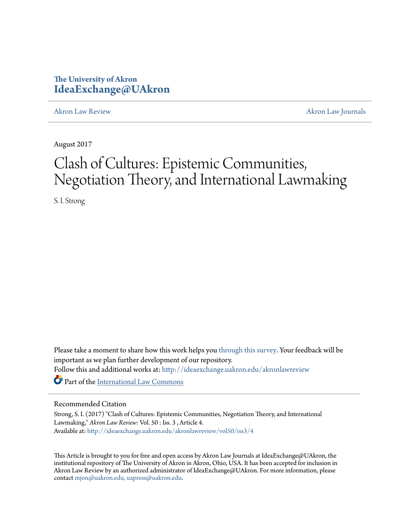# **The University of Akron [IdeaExchange@UAkron](http://ideaexchange.uakron.edu?utm_source=ideaexchange.uakron.edu%2Fakronlawreview%2Fvol50%2Fiss3%2F4&utm_medium=PDF&utm_campaign=PDFCoverPages)**

[Akron Law Review](http://ideaexchange.uakron.edu/akronlawreview?utm_source=ideaexchange.uakron.edu%2Fakronlawreview%2Fvol50%2Fiss3%2F4&utm_medium=PDF&utm_campaign=PDFCoverPages) [Akron Law Journals](http://ideaexchange.uakron.edu/akronlawjournals?utm_source=ideaexchange.uakron.edu%2Fakronlawreview%2Fvol50%2Fiss3%2F4&utm_medium=PDF&utm_campaign=PDFCoverPages)

August 2017

# Clash of Cultures: Epistemic Communities, Negotiation Theory, and International Lawmaking

S. I. Strong

Please take a moment to share how this work helps you [through this survey.](http://survey.az1.qualtrics.com/SE/?SID=SV_eEVH54oiCbOw05f&URL=http://ideaexchange.uakron.edu/akronlawreview/vol50/iss3/4) Your feedback will be important as we plan further development of our repository. Follow this and additional works at: [http://ideaexchange.uakron.edu/akronlawreview](http://ideaexchange.uakron.edu/akronlawreview?utm_source=ideaexchange.uakron.edu%2Fakronlawreview%2Fvol50%2Fiss3%2F4&utm_medium=PDF&utm_campaign=PDFCoverPages) Part of the [International Law Commons](http://network.bepress.com/hgg/discipline/609?utm_source=ideaexchange.uakron.edu%2Fakronlawreview%2Fvol50%2Fiss3%2F4&utm_medium=PDF&utm_campaign=PDFCoverPages)

# Recommended Citation

Strong, S. I. (2017) "Clash of Cultures: Epistemic Communities, Negotiation Theory, and International Lawmaking," *Akron Law Review*: Vol. 50 : Iss. 3 , Article 4. Available at: [http://ideaexchange.uakron.edu/akronlawreview/vol50/iss3/4](http://ideaexchange.uakron.edu/akronlawreview/vol50/iss3/4?utm_source=ideaexchange.uakron.edu%2Fakronlawreview%2Fvol50%2Fiss3%2F4&utm_medium=PDF&utm_campaign=PDFCoverPages)

This Article is brought to you for free and open access by Akron Law Journals at IdeaExchange@UAkron, the institutional repository of The University of Akron in Akron, Ohio, USA. It has been accepted for inclusion in Akron Law Review by an authorized administrator of IdeaExchange@UAkron. For more information, please contact [mjon@uakron.edu, uapress@uakron.edu.](mailto:mjon@uakron.edu,%20uapress@uakron.edu)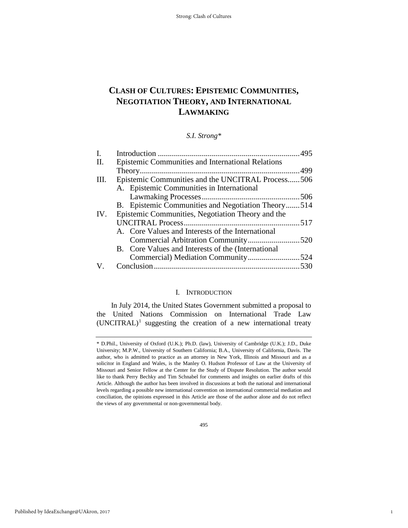# **CLASH OF CULTURES: EPISTEMIC COMMUNITIES, NEGOTIATION THEORY, AND INTERNATIONAL LAWMAKING**

*S.I. Strong\**

| $I_{\cdot}$ |                                                    |  |
|-------------|----------------------------------------------------|--|
| II.         | Epistemic Communities and International Relations  |  |
|             |                                                    |  |
| Ш.          | Epistemic Communities and the UNCITRAL Process506  |  |
|             | A. Epistemic Communities in International          |  |
|             |                                                    |  |
|             | B. Epistemic Communities and Negotiation Theory514 |  |
| IV.         | Epistemic Communities, Negotiation Theory and the  |  |
|             |                                                    |  |
|             | A. Core Values and Interests of the International  |  |
|             |                                                    |  |
|             | B. Core Values and Interests of the (International |  |
|             |                                                    |  |
|             |                                                    |  |

#### I. INTRODUCTION

In July 2014, the United States Government submitted a proposal to the United Nations Commission on International Trade Law  $(UNCITRAL)^1$  $(UNCITRAL)^1$  suggesting the creation of a new international treaty

495

1

<span id="page-1-0"></span><sup>\*</sup> D.Phil., University of Oxford (U.K.); Ph.D. (law), University of Cambridge (U.K.); J.D., Duke University; M.P.W., University of Southern California; B.A., University of California, Davis. The author, who is admitted to practice as an attorney in New York, Illinois and Missouri and as a solicitor in England and Wales, is the Manley O. Hudson Professor of Law at the University of Missouri and Senior Fellow at the Center for the Study of Dispute Resolution. The author would like to thank Perry Bechky and Tim Schnabel for comments and insights on earlier drafts of this Article. Although the author has been involved in discussions at both the national and international levels regarding a possible new international convention on international commercial mediation and conciliation, the opinions expressed in this Article are those of the author alone and do not reflect the views of any governmental or non-governmental body.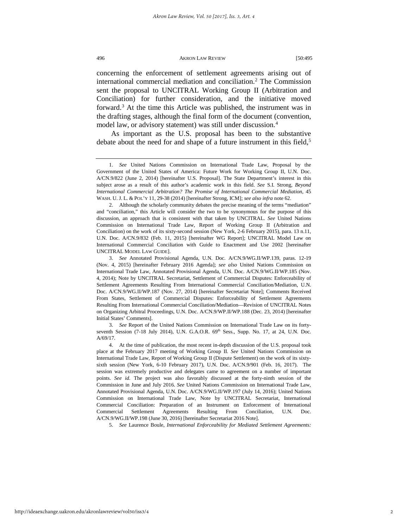concerning the enforcement of settlement agreements arising out of international commercial mediation and conciliation.[2](#page-2-0) The Commission sent the proposal to UNCITRAL Working Group II (Arbitration and Conciliation) for further consideration, and the initiative moved forward.<sup>[3](#page-2-1)</sup> At the time this Article was published, the instrument was in the drafting stages, although the final form of the document (convention, model law, or advisory statement) was still under discussion.<sup>[4](#page-2-2)</sup>

As important as the U.S. proposal has been to the substantive debate about the need for and shape of a future instrument in this field,<sup>5</sup>

3. *See* Report of the United Nations Commission on International Trade Law on its fortyseventh Session (7-18 July 2014), U.N. G.A.O.R.  $69<sup>th</sup>$  Sess., Supp. No. 17, at 24, U.N. Doc. A/69/17.

<span id="page-2-3"></span>5. *See* Laurence Boule, *International Enforceability for Mediated Settlement Agreements:*

<sup>1.</sup> *See* United Nations Commission on International Trade Law, Proposal by the Government of the United States of America: Future Work for Working Group II, U.N. Doc. A/CN.9/822 (June 2, 2014) [hereinafter U.S. Proposal]. The State Department's interest in this subject arose as a result of this author's academic work in this field. *See* S.I. Strong, *Beyond International Commercial Arbitration? The Promise of International Commercial Mediation*, 45 WASH. U. J. L. & POL'Y 11, 29-38 (2014) [hereinafter Strong, ICM]; *see also infra* note 62.

<span id="page-2-0"></span><sup>2.</sup> Although the scholarly community debates the precise meaning of the terms "mediation" and "conciliation," this Article will consider the two to be synonymous for the purpose of this discussion, an approach that is consistent with that taken by UNCITRAL. *See* United Nations Commission on International Trade Law, Report of Working Group II (Arbitration and Conciliation) on the work of its sixty-second session (New York, 2-6 February 2015), para. 13 n.11, U.N. Doc. A/CN.9/832 (Feb. 11, 2015) [hereinafter WG Report]; UNCITRAL Model Law on International Commercial Conciliation with Guide to Enactment and Use 2002 [hereinafter UNCITRAL MODEL LAW GUIDE].

<span id="page-2-1"></span><sup>3.</sup> *See* Annotated Provisional Agenda, U.N. Doc. A/CN.9/WG.II/WP.139, paras. 12-19 (Nov. 4, 2015) [hereinafter February 2016 Agenda]; *see also* United Nations Commission on International Trade Law, Annotated Provisional Agenda, U.N. Doc. A/CN.9/WG.II/WP.185 (Nov. 4, 2014); Note by UNCITRAL Secretariat, Settlement of Commercial Disputes: Enforceability of Settlement Agreements Resulting From International Commercial Conciliation/Mediation, U.N. Doc. A/CN.9/WG.II/WP.187 (Nov. 27, 2014) [hereinafter Secretariat Note]; Comments Received From States, Settlement of Commercial Disputes: Enforceability of Settlement Agreements Resulting From International Commercial Conciliation/Mediation—Revision of UNCITRAL Notes on Organizing Arbitral Proceedings, U.N. Doc. A/CN.9/WP.II/WP.188 (Dec. 23, 2014) [hereinafter Initial States' Comments].

<span id="page-2-2"></span><sup>4.</sup> At the time of publication, the most recent in-depth discussion of the U.S. proposal took place at the February 2017 meeting of Working Group II. *See* United Nations Commission on International Trade Law, Report of Working Group II (Dispute Settlement) on the work of its sixtysixth session (New York, 6-10 February 2017), U.N. Doc. A/CN.9/901 (Feb. 16, 2017). The session was extremely productive and delegates came to agreement on a number of important points. *See id.* The project was also favorably discussed at the forty-ninth session of the Commission in June and July 2016. *See* United Nations Commission on International Trade Law, Annotated Provisional Agenda, U.N. Doc. A/CN.9/WG.II/WP.197 (July 14, 2016); United Nations Commission on International Trade Law, Note by UNCITRAL Secretariat, International Commercial Conciliation: Preparation of an Instrument on Enforcement of International Commercial Settlement Agreements Resulting From Conciliation, U.N. Doc. A/CN.9/WG.II/WP.198 (June 30, 2016) [hereinafter Secretariat 2016 Note].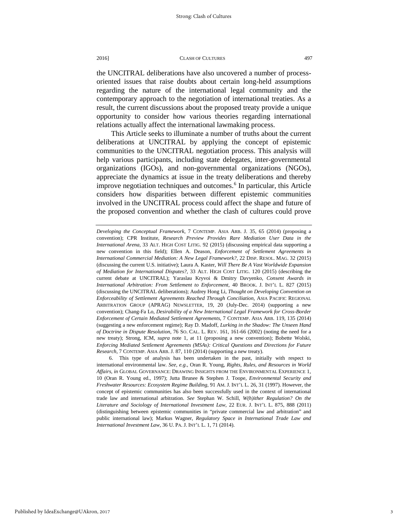the UNCITRAL deliberations have also uncovered a number of processoriented issues that raise doubts about certain long-held assumptions regarding the nature of the international legal community and the contemporary approach to the negotiation of international treaties. As a result, the current discussions about the proposed treaty provide a unique opportunity to consider how various theories regarding international relations actually affect the international lawmaking process.

This Article seeks to illuminate a number of truths about the current deliberations at UNCITRAL by applying the concept of epistemic communities to the UNCITRAL negotiation process. This analysis will help various participants, including state delegates, inter-governmental organizations (IGOs), and non-governmental organizations (NGOs), appreciate the dynamics at issue in the treaty deliberations and thereby improve negotiation techniques and outcomes.<sup>[6](#page-3-0)</sup> In particular, this Article considers how disparities between different epistemic communities involved in the UNCITRAL process could affect the shape and future of the proposed convention and whether the clash of cultures could prove

*Developing the Conceptual Framework*, 7 CONTEMP. ASIA ARB. J. 35, 65 (2014) (proposing a convention); CPR Institute, *Research Preview Provides Rare Mediation User Data in the International Arena,* 33 ALT. HIGH COST LITIG. 92 (2015) (discussing empirical data supporting a new convention in this field); Ellen A. Deason, *Enforcement of Settlement Agreements in International Commercial Mediation: A New Legal Framework?,* 22 DISP. RESOL. MAG. 32 (2015) (discussing the current U.S. initiative); Laura A. Kaster, *Will There Be A Vast Worldwide Expansion of Mediation for International Disputes?,* 33 ALT. HIGH COST LITIG. 120 (2015) (describing the current debate at UNCITRAL); Yaraslau Kryvoi & Dmitry Davyenko, *Consent Awards in International Arbitration: From Settlement to Enforcement,* 40 BROOK. J. INT'L L. 827 (2015) (discussing the UNCITRAL deliberations); Audrey Hong Li, *Thought on Developing Convention on Enforceability of Settlement Agreements Reached Through Conciliation,* ASIA PACIFIC REGIONAL ARBITRATION GROUP (APRAG) NEWSLETTER, 19, 20 (July-Dec. 2014) (supporting a new convention); Chang-Fa Lo, *Desirability of a New International Legal Framework for Cross-Border Enforcement of Certain Mediated Settlement Agreements,* 7 CONTEMP. ASIA ARB. 119, 135 (2014) (suggesting a new enforcement regime); Ray D. Madoff, *Lurking in the Shadow: The Unseen Hand of Doctrine in Dispute Resolution*, 76 SO. CAL. L. REV. 161, 161-66 (2002) (noting the need for a new treaty); Strong, ICM, *supra* note 1, at 11 (proposing a new convention); Bobette Wolski, *Enforcing Mediated Settlement Agreements (MSAs): Critical Questions and Directions for Future Research*, 7 CONTEMP. ASIA ARB. J. 87, 110 (2014) (supporting a new treaty).

<span id="page-3-0"></span><sup>6.</sup> This type of analysis has been undertaken in the past, initially with respect to international environmental law. *See, e.g.,* Oran R. Young, *Rights, Rules, and Resources in World Affairs, in* GLOBAL GOVERNANCE: DRAWING INSIGHTS FROM THE ENVIRONMENTAL EXPERIENCE 1, 10 (Oran R. Young ed., 1997); Jutta Brunee & Stephen J. Toope, *Environmental Security and Freshwater Resources: Ecosystem Regime Building,* 91 AM. J. INT'L L. 26, 31 (1997). However, the concept of epistemic communities has also been successfully used in the context of international trade law and international arbitration. *See* Stephan W. Schill, *W(h)ither Regulation? On the Literature and Sociology of International Investment Law*, 22 EUR. J. INT'L L. 875, 888 (2011) (distinguishing between epistemic communities in "private commercial law and arbitration" and public international law); Markus Wagner, *Regulatory Space in International Trade Law and International Investment Law,* 36 U. PA. J. INT'L L. 1, 71 (2014).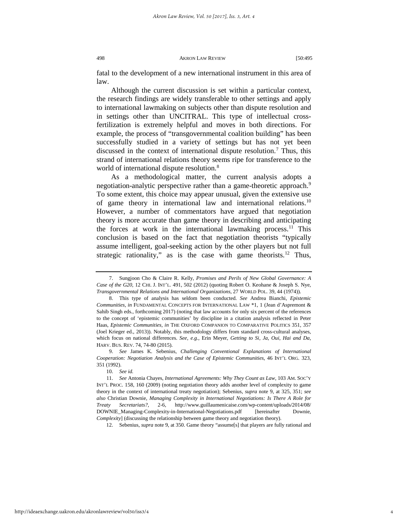fatal to the development of a new international instrument in this area of law.

Although the current discussion is set within a particular context, the research findings are widely transferable to other settings and apply to international lawmaking on subjects other than dispute resolution and in settings other than UNCITRAL. This type of intellectual crossfertilization is extremely helpful and moves in both directions. For example, the process of "transgovernmental coalition building" has been successfully studied in a variety of settings but has not yet been discussed in the context of international dispute resolution.[7](#page-4-0) Thus, this strand of international relations theory seems ripe for transference to the world of international dispute resolution.<sup>8</sup>

As a methodological matter, the current analysis adopts a negotiation-analytic perspective rather than a game-theoretic approach.<sup>9</sup> To some extent, this choice may appear unusual, given the extensive use of game theory in international law and international relations.[10](#page-4-3) However, a number of commentators have argued that negotiation theory is more accurate than game theory in describing and anticipating the forces at work in the international lawmaking process.<sup>[11](#page-4-4)</sup> This conclusion is based on the fact that negotiation theorists "typically assume intelligent, goal-seeking action by the other players but not full strategic rationality," as is the case with game theorists.<sup>12</sup> Thus,

<span id="page-4-2"></span>9. *See* James K. Sebenius, *Challenging Conventional Explanations of International Cooperation: Negotiation Analysis and the Case of Epistemic Communities*, 46 INT'L ORG. 323, 351 (1992).

<span id="page-4-5"></span>12. Sebenius, *supra* note 9, at 350. Game theory "assume[s] that players are fully rational and

<span id="page-4-0"></span><sup>7.</sup> Sungjoon Cho & Claire R. Kelly, *Promises and Perils of New Global Governance: A Case of the G20,* 12 CHI. J. INT'L. 491, 502 (2012) (quoting Robert O. Keohane & Joseph S. Nye, *Transgovernmental Relations and International Organizations*, 27 WORLD POL. 39, 44 (1974)).

<span id="page-4-1"></span><sup>8.</sup> This type of analysis has seldom been conducted. *See* Andrea Bianchi, *Epistemic Communities, in* FUNDAMENTAL CONCEPTS FOR INTERNATIONAL LAW \*1, 1 (Jean d'Aspremont & Sahib Singh eds., forthcoming 2017) (noting that law accounts for only six percent of the references to the concept of 'epistemic communities' by discipline in a citation analysis reflected in Peter Haas, *Epistemic Communities, in* THE OXFORD COMPANION TO COMPARATIVE POLITICS 351, 357 (Joel Krieger ed., 2013)). Notably, this methodology differs from standard cross-cultural analyses, which focus on national differences. *See, e.g.,* Erin Meyer, *Getting to Si, Ja, Oui, Hai and Da,*  HARV. BUS. REV. 74, 74-80 (2015).

<sup>10.</sup> *See id.* 

<span id="page-4-4"></span><span id="page-4-3"></span><sup>11.</sup> *See* Antonia Chayes, *International Agreements: Why They Count as Law,* 103 AM. SOC'Y INT'L PROC. 158, 160 (2009) (noting negotiation theory adds another level of complexity to game theory in the context of international treaty negotiation); Sebenius, *supra* note 9, at 325, 351; *see also* Christian Downie, *Managing Complexity in International Negotiations: Is There A Role for Treaty Secretariats?*, 2-6, [http://www.guillaumenicaise.com/wp-content/uploads/2014/08/](http://www.guillaumenicaise.com/wp-content/uploads/2014/08/DOWNIE_Managing-Complexity-in-International-Negotiations.pdf) [DOWNIE\\_Managing-Complexity-in-International-Negotiations.pdf](http://www.guillaumenicaise.com/wp-content/uploads/2014/08/DOWNIE_Managing-Complexity-in-International-Negotiations.pdf) [hereinafter Downie, *Complexity*] (discussing the relationship between game theory and negotiation theory).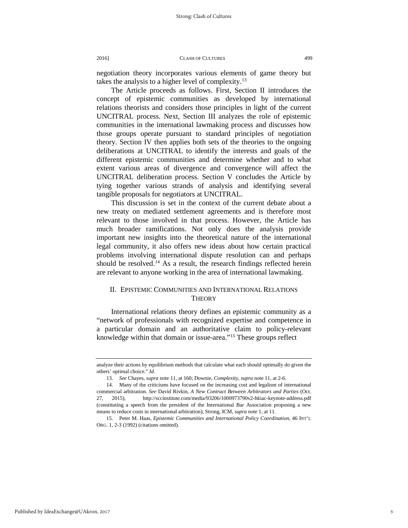negotiation theory incorporates various elements of game theory but takes the analysis to a higher level of complexity.<sup>[13](#page-5-0)</sup>

The Article proceeds as follows. First, Section II introduces the concept of epistemic communities as developed by international relations theorists and considers those principles in light of the current UNCITRAL process. Next, Section III analyzes the role of epistemic communities in the international lawmaking process and discusses how those groups operate pursuant to standard principles of negotiation theory. Section IV then applies both sets of the theories to the ongoing deliberations at UNCITRAL to identify the interests and goals of the different epistemic communities and determine whether and to what extent various areas of divergence and convergence will affect the UNCITRAL deliberation process. Section V concludes the Article by tying together various strands of analysis and identifying several tangible proposals for negotiators at UNCITRAL.

This discussion is set in the context of the current debate about a new treaty on mediated settlement agreements and is therefore most relevant to those involved in that process. However, the Article has much broader ramifications. Not only does the analysis provide important new insights into the theoretical nature of the international legal community, it also offers new ideas about how certain practical problems involving international dispute resolution can and perhaps should be resolved.<sup>[14](#page-5-1)</sup> As a result, the research findings reflected herein are relevant to anyone working in the area of international lawmaking.

## II. EPISTEMIC COMMUNITIES AND INTERNATIONAL RELATIONS **THEORY**

International relations theory defines an epistemic community as a "network of professionals with recognized expertise and competence in a particular domain and an authoritative claim to policy-relevant knowledge within that domain or issue-area."[15](#page-5-2) These groups reflect

analyze their actions by equilibrium methods that calculate what each should optimally do given the others' optimal choice." *Id.* 

<sup>13.</sup> *See* Chayes, *supra* note 11, at 160; Downie, *Complexity, supra* note 11, at 2-6.

<span id="page-5-1"></span><span id="page-5-0"></span><sup>14.</sup> Many of the criticisms have focused on the increasing cost and legalism of international commercial arbitration. *See* David Rivkin, *A New Contract Between Arbitrators and Parties* (Oct. 27, 2015), <http://sccinstitute.com/media/93206/1000973790v2-hkiac-keynote-address.pdf> (constituting a speech from the president of the International Bar Association proposing a new means to reduce costs in international arbitration); Strong, ICM, *supra* note 1, at 11.

<span id="page-5-2"></span><sup>15.</sup> Peter M. Haas, *Epistemic Communities and International Policy Coordination*, 46 INT'L ORG. 1, 2-3 (1992) (citations omitted).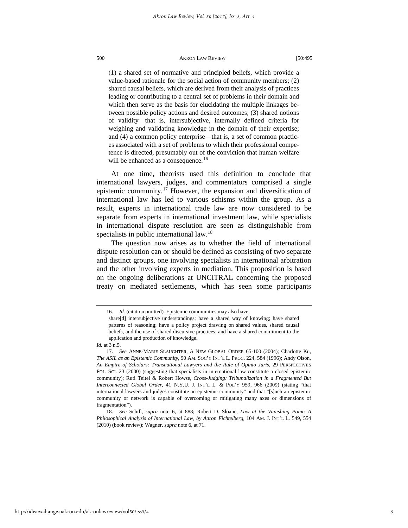(1) a shared set of normative and principled beliefs, which provide a value-based rationale for the social action of community members; (2) shared causal beliefs, which are derived from their analysis of practices leading or contributing to a central set of problems in their domain and which then serve as the basis for elucidating the multiple linkages between possible policy actions and desired outcomes; (3) shared notions of validity—that is, intersubjective, internally defined criteria for weighing and validating knowledge in the domain of their expertise; and (4) a common policy enterprise—that is, a set of common practices associated with a set of problems to which their professional competence is directed, presumably out of the conviction that human welfare will be enhanced as a consequence.<sup>[16](#page-6-0)</sup>

At one time, theorists used this definition to conclude that international lawyers, judges, and commentators comprised a single epistemic community.[17](#page-6-1) However, the expansion and diversification of international law has led to various schisms within the group. As a result, experts in international trade law are now considered to be separate from experts in international investment law, while specialists in international dispute resolution are seen as distinguishable from specialists in public international law.<sup>[18](#page-6-2)</sup>

The question now arises as to whether the field of international dispute resolution can or should be defined as consisting of two separate and distinct groups, one involving specialists in international arbitration and the other involving experts in mediation. This proposition is based on the ongoing deliberations at UNCITRAL concerning the proposed treaty on mediated settlements, which has seen some participants

<sup>16.</sup> *Id.* (citation omitted). Epistemic communities may also have share[d] intersubjective understandings; have a shared way of knowing; have shared patterns of reasoning; have a policy project drawing on shared values, shared causal beliefs, and the use of shared discursive practices; and have a shared commitment to the application and production of knowledge.

<span id="page-6-0"></span>*Id.* at 3 n.5.

<span id="page-6-1"></span><sup>17.</sup> *See* ANNE-MARIE SLAUGHTER, A NEW GLOBAL ORDER 65-100 (2004); Charlotte Ku, *The ASIL as an Epistemic Community,* 90 AM. SOC'Y INT'L L. PROC. 224, 584 (1996); Andy Olson, *An Empire of Scholars: Transnational Lawyers and the Rule of Opinio Juris*, 29 PERSPECTIVES POL. SCI. 23 (2000) (suggesting that specialists in international law constitute a closed epistemic community); Ruti Teitel & Robert Howse, *Cross-Judging: Tribunalization in a Fragmented But Interconnected Global Order,* 41 N.Y.U. J. INT'L L. & POL'Y 959, 966 (2009) (stating "that international lawyers and judges constitute an epistemic community" and that "[s]uch an epistemic community or network is capable of overcoming or mitigating many axes or dimensions of fragmentation").

<span id="page-6-2"></span><sup>18.</sup> *See* Schill, *supra* note 6, at 888; Robert D. Sloane, *Law at the Vanishing Point: A Philosophical Analysis of International Law, by Aaron Fichtelberg,* 104 AM. J. INT'L L. 549, 554 (2010) (book review); Wagner, *supra* note 6, at 71.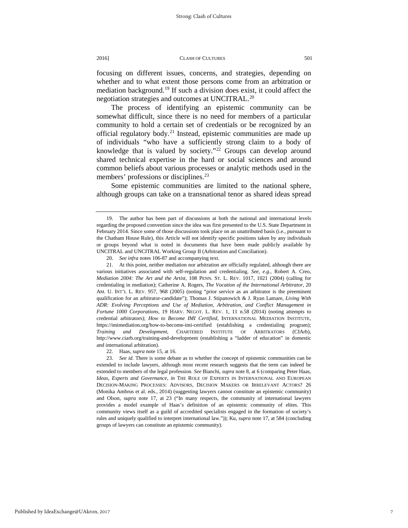focusing on different issues, concerns, and strategies, depending on whether and to what extent those persons come from an arbitration or mediation background.[19](#page-7-0) If such a division does exist, it could affect the negotiation strategies and outcomes at UNCITRAL.<sup>[20](#page-7-1)</sup>

The process of identifying an epistemic community can be somewhat difficult, since there is no need for members of a particular community to hold a certain set of credentials or be recognized by an official regulatory body.<sup>[21](#page-7-2)</sup> Instead, epistemic communities are made up of individuals "who have a sufficiently strong claim to a body of knowledge that is valued by society."<sup>[22](#page-7-3)</sup> Groups can develop around shared technical expertise in the hard or social sciences and around common beliefs about various processes or analytic methods used in the members' professions or disciplines.<sup>[23](#page-7-4)</sup>

Some epistemic communities are limited to the national sphere, although groups can take on a transnational tenor as shared ideas spread

<span id="page-7-2"></span><span id="page-7-1"></span>21. At this point, neither mediation nor arbitration are officially regulated, although there are various initiatives associated with self-regulation and credentialing. *See, e.g.,* Robert A. Creo, *Mediation 2004: The Art and the Artist,* 108 PENN. ST. L. REV. 1017, 1021 (2004) (calling for credentialing in mediation); Catherine A. Rogers, *The Vocation of the International Arbitrator,* 20 AM. U. INT'L L. REV. 957, 968 (2005) (noting "prior service as an arbitrator is the preeminent qualification for an arbitrator-candidate"); Thomas J. Stipanowich & J. Ryan Lamare, *Living With ADR: Evolving Perceptions and Use of Mediation, Arbitration, and Conflict Management in Fortune 1000 Corporations,* 19 HARV. NEGOT. L. REV. 1, 11 n.58 (2014) (noting attempts to credential arbitrators); *How to Become IMI Certified*, INTERNATIONAL MEDIATION INSTITUTE, https://imimediation.org/how-to-become-imi-certified (establishing a credentialing program); *Training and Development*, CHARTERED INSTITUTE OF ARBITRATORS (CIArb), http://www.ciarb.org/training-and-development (establishing a "ladder of education" in domestic and international arbitration).

22. Haas, *supra* note 15, at 16.

<span id="page-7-4"></span><span id="page-7-3"></span>23. *See id.* There is some debate as to whether the concept of epistemic communities can be extended to include lawyers, although most recent research suggests that the term can indeed be extended to members of the legal profession. *See* Bianchi, *supra* note 8, at 6 (comparing Peter Haas, *Ideas, Experts and Governance, in* THE ROLE OF EXPERTS IN INTERNATIONAL AND EUROPEAN DECISION-MAKING PROCESSES: ADVISORS, DECISION MAKERS OR IRRELEVANT ACTORS? 26 (Monika Ambrus et al. eds., 2014) (suggesting lawyers cannot constitute an epistemic community) and Olson, *supra* note 17, at 23 ("In many respects, the community of international lawyers provides a model example of Haas's definition of an epistemic community of elites. This community views itself as a guild of accredited specialists engaged in the formation of society's rules and uniquely qualified to interpret international law.")); Ku, *supra* note 17, at 584 (concluding groups of lawyers can constitute an epistemic community).

<span id="page-7-0"></span><sup>19.</sup> The author has been part of discussions at both the national and international levels regarding the proposed convention since the idea was first presented to the U.S. State Department in February 2014. Since some of those discussions took place on an unattributed basis (i.e., pursuant to the Chatham House Rule), this Article will not identify specific positions taken by any individuals or groups beyond what is noted in documents that have been made publicly available by UNCITRAL and UNCITRAL Working Group II (Arbitration and Conciliation).

<sup>20.</sup> *See infra* notes 106-87 and accompanying text.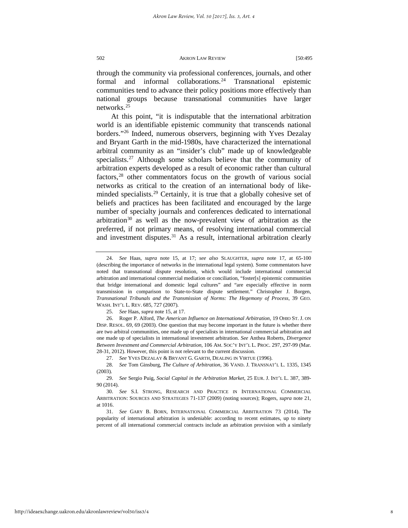through the community via professional conferences, journals, and other formal and informal collaborations.<sup>[24](#page-8-0)</sup> Transnational epistemic communities tend to advance their policy positions more effectively than national groups because transnational communities have larger networks.[25](#page-8-1)

At this point, "it is indisputable that the international arbitration world is an identifiable epistemic community that transcends national borders."[26](#page-8-2) Indeed, numerous observers, beginning with Yves Dezalay and Bryant Garth in the mid-1980s, have characterized the international arbitral community as an "insider's club" made up of knowledgeable specialists.<sup>27</sup> Although some scholars believe that the community of arbitration experts developed as a result of economic rather than cultural factors,<sup>[28](#page-8-4)</sup> other commentators focus on the growth of various social networks as critical to the creation of an international body of like-minded specialists.<sup>[29](#page-8-5)</sup> Certainly, it is true that a globally cohesive set of beliefs and practices has been facilitated and encouraged by the large number of specialty journals and conferences dedicated to international arbitration<sup>[30](#page-8-6)</sup> as well as the now-prevalent view of arbitration as the preferred, if not primary means, of resolving international commercial and investment disputes. $31$  As a result, international arbitration clearly

25. *See* Haas, *supra* note 15, at 17.

<span id="page-8-2"></span><span id="page-8-1"></span>26. Roger P. Alford, *The American Influence on International Arbitration,* 19 OHIO ST. J. ON DISP. RESOL. 69, 69 (2003). One question that may become important in the future is whether there are two arbitral communities, one made up of specialists in international commercial arbitration and one made up of specialists in international investment arbitration. *See* Anthea Roberts, *Divergence Between Investment and Commercial Arbitration*, 106 AM. SOC'Y INT'L L. PROC. 297, 297-99 (Mar. 28-31, 2012). However, this point is not relevant to the current discussion.

27. *See* YVES DEZALAY & BRYANT G. GARTH, DEALING IN VIRTUE (1996).

<span id="page-8-4"></span><span id="page-8-3"></span>28. *See* Tom Ginsburg, *The Culture of Arbitration,* 36 VAND. J. TRANSNAT'L L. 1335, 1345 (2003).

<span id="page-8-5"></span>29. *See* Sergio Puig, *Social Capital in the Arbitration Market*, 25 EUR. J. INT'L L. 387, 389- 90 (2014).

<span id="page-8-7"></span>31. *See* GARY B. BORN, INTERNATIONAL COMMERCIAL ARBITRATION 73 (2014). The popularity of international arbitration is undeniable: according to recent estimates, up to ninety percent of all international commercial contracts include an arbitration provision with a similarly

<span id="page-8-0"></span><sup>24.</sup> *See* Haas, *supra* note 15, at 17; *see also* SLAUGHTER, *supra* note 17, at 65-100 (describing the importance of networks in the international legal system). Some commentators have noted that transnational dispute resolution, which would include international commercial arbitration and international commercial mediation or conciliation, "foster[s] epistemic communities that bridge international and domestic legal cultures" and "are especially effective in norm transmission in comparison to State-to-State dispute settlement." Christopher J. Borgen, *Transnational Tribunals and the Transmission of Norms: The Hegemony of Process,* 39 GEO. WASH. INT'L L. REV. 685, 727 (2007).

<span id="page-8-6"></span><sup>30.</sup> *See* S.I. STRONG, RESEARCH AND PRACTICE IN INTERNATIONAL COMMERCIAL ARBITRATION: SOURCES AND STRATEGIES 71-137 (2009) (noting sources); Rogers, *supra* note 21, at 1016.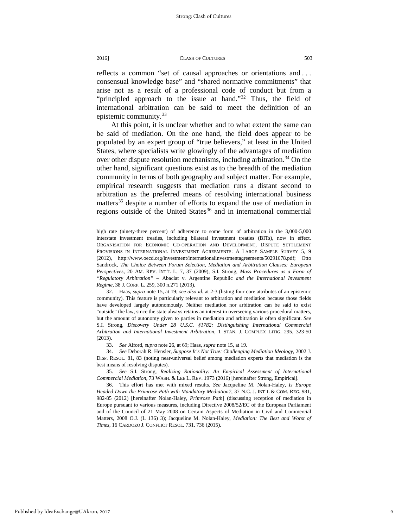reflects a common "set of causal approaches or orientations and . . . consensual knowledge base" and "shared normative commitments" that arise not as a result of a professional code of conduct but from a "principled approach to the issue at hand."<sup>[32](#page-9-0)</sup> Thus, the field of international arbitration can be said to meet the definition of an epistemic community. $33$ 

At this point, it is unclear whether and to what extent the same can be said of mediation. On the one hand, the field does appear to be populated by an expert group of "true believers," at least in the United States, where specialists write glowingly of the advantages of mediation over other dispute resolution mechanisms, including arbitration.<sup>34</sup> On the other hand, significant questions exist as to the breadth of the mediation community in terms of both geography and subject matter. For example, empirical research suggests that mediation runs a distant second to arbitration as the preferred means of resolving international business matters<sup>[35](#page-9-3)</sup> despite a number of efforts to expand the use of mediation in regions outside of the United States<sup>36</sup> and in international commercial

<span id="page-9-4"></span><span id="page-9-3"></span>35. *See* S.I. Strong, *Realizing Rationality: An Empirical Assessment of International Commercial Mediation*, 73 WASH. & LEE L. REV. 1973 (2016) [hereinafter Strong, Empirical].

36. This effort has met with mixed results. *See* Jacqueline M. Nolan-Haley, *Is Europe Headed Down the Primrose Path with Mandatory Mediation?*, 37 N.C. J. INT'L & COM. REG. 981, 982-85 (2012) [hereinafter Nolan-Haley, *Primrose Path*] (discussing reception of mediation in Europe pursuant to various measures, including Directive 2008/52/EC of the European Parliament and of the Council of 21 May 2008 on Certain Aspects of Mediation in Civil and Commercial Matters, 2008 O.J. (L 136) 3); Jacqueline M. Nolan-Haley, *Mediation: The Best and Worst of Times,* 16 CARDOZO J. CONFLICT RESOL. 731, 736 (2015).

high rate (ninety-three percent) of adherence to some form of arbitration in the 3,000-5,000 interstate investment treaties, including bilateral investment treaties (BITs), now in effect. ORGANISATION FOR ECONOMIC CO-OPERATION AND DEVELOPMENT, DISPUTE SETTLEMENT PROVISIONS IN INTERNATIONAL INVESTMENT AGREEMENTS: A LARGE SAMPLE SURVEY 5, 9 (2012), http://www.oecd.org/investment/internationalinvestmentagreements/50291678.pdf; Otto Sandrock, *The Choice Between Forum Selection, Mediation and Arbitration Clauses: European Perspectives,* 20 AM. REV. INT'L L. 7, 37 (2009); S.I. Strong, *Mass Procedures as a Form of "Regulatory Arbitration" –* Abaclat v. Argentine Republic *and the International Investment Regime*, 38 J. CORP. L. 259, 300 n.271 (2013).

<span id="page-9-0"></span><sup>32.</sup> Haas, *supra* note 15, at 19; *see also id.* at 2-3 (listing four core attributes of an epistemic community). This feature is particularly relevant to arbitration and mediation because those fields have developed largely autonomously. Neither mediation nor arbitration can be said to exist "outside" the law, since the state always retains an interest in overseeing various procedural matters, but the amount of autonomy given to parties in mediation and arbitration is often significant. *See* S.I. Strong, *Discovery Under 28 U.S.C. §1782: Distinguishing International Commercial Arbitration and International Investment Arbitration*, 1 STAN. J. COMPLEX LITIG. 295, 323-50 (2013).

<sup>33.</sup> *See* Alford, *supra* note 26, at 69; Haas, *supra* note 15, at 19.

<span id="page-9-2"></span><span id="page-9-1"></span><sup>34.</sup> *See* Deborah R. Hensler, *Suppose It's Not True: Challenging Mediation Ideology,* 2002 J. DISP. RESOL. 81, 83 (noting near-universal belief among mediation experts that mediation is the best means of resolving disputes).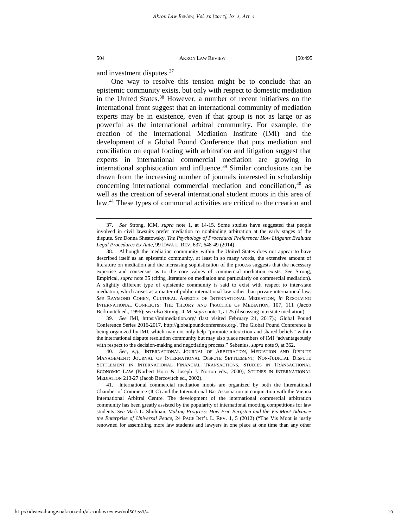and investment disputes.[37](#page-10-0)

One way to resolve this tension might be to conclude that an epistemic community exists, but only with respect to domestic mediation in the United States.<sup>[38](#page-10-1)</sup> However, a number of recent initiatives on the international front suggest that an international community of mediation experts may be in existence, even if that group is not as large or as powerful as the international arbitral community. For example, the creation of the International Mediation Institute (IMI) and the development of a Global Pound Conference that puts mediation and conciliation on equal footing with arbitration and litigation suggest that experts in international commercial mediation are growing in international sophistication and influence.<sup>[39](#page-10-2)</sup> Similar conclusions can be drawn from the increasing number of journals interested in scholarship concerning international commercial mediation and conciliation, $40$  as well as the creation of several international student moots in this area of law.[41](#page-10-4) These types of communal activities are critical to the creation and

<span id="page-10-2"></span>39. *See* IMI, <https://imimediation.org/> (last visited February 21, 2017).; Global Pound Conference Series 2016-2017, http://globalpoundconference.org/. The Global Pound Conference is being organized by IMI, which may not only help "promote interaction and shared beliefs" within the international dispute resolution community but may also place members of IMI "advantageously with respect to the decision-making and negotiating process." Sebenius, *supra* note 9, at 362.

<span id="page-10-3"></span>40. *See, e.g.,* INTERNATIONAL JOURNAL OF ARBITRATION, MEDIATION AND DISPUTE MANAGEMENT; JOURNAL OF INTERNATIONAL DISPUTE SETTLEMENT; NON-JUDICIAL DISPUTE SETTLEMENT IN INTERNATIONAL FINANCIAL TRANSACTIONS, STUDIES IN TRANSACTIONAL ECONOMIC LAW (Norbert Horn & Joseph J. Norton eds., 2000); STUDIES IN INTERNATIONAL MEDIATION 213-27 (Jacob Bercovitch ed., 2002).

<span id="page-10-4"></span>41. International commercial mediation moots are organized by both the International Chamber of Commerce (ICC) and the International Bar Association in conjunction with the Vienna International Arbitral Centre. The development of the international commercial arbitration community has been greatly assisted by the popularity of international mooting competitions for law students. *See* Mark L. Shulman, *Making Progress: How Eric Bergsten and the Vis Moot Advance the Enterprise of Universal Peace,* 24 PACE INT'L L. REV. 1, 5 (2012) ("The Vis Moot is justly renowned for assembling more law students and lawyers in one place at one time than any other

<span id="page-10-0"></span><sup>37.</sup> *See* Strong, ICM, *supra* note 1, at 14-15. Some studies have suggested that people involved in civil lawsuits prefer mediation to nonbinding arbitration at the early stages of the dispute. *See* Donna Shestowsky, *[The Psychology of Procedural Preference: How Litigants Evaluate](https://a.next.westlaw.com/Link/Document/FullText?findType=Y&serNum=0398368027&pubNum=0001168&originatingDoc=Ie10f2809215d11e598dc8b09b4f043e0&refType=LR&originationContext=document&transitionType=DocumentItem&contextData=(sc.Search))  [Legal Procedures Ex Ante,](https://a.next.westlaw.com/Link/Document/FullText?findType=Y&serNum=0398368027&pubNum=0001168&originatingDoc=Ie10f2809215d11e598dc8b09b4f043e0&refType=LR&originationContext=document&transitionType=DocumentItem&contextData=(sc.Search))* 99 IOWA L. REV. 637, 648-49 (2014).

<span id="page-10-1"></span><sup>38.</sup> Although the mediation community within the United States does not appear to have described itself as an epistemic community, at least in so many words, the extensive amount of literature on mediation and the increasing sophistication of the process suggests that the necessary expertise and consensus as to the core values of commercial mediation exists. *See* Strong, Empirical, *supra* note 35 (citing literature on mediation and particularly on commercial mediation). A slightly different type of epistemic community is said to exist with respect to inter-state mediation, which arises as a matter of public international law rather than private international law. *See* RAYMOND COHEN, CULTURAL ASPECTS OF INTERNATIONAL MEDIATION*, in* RESOLVING INTERNATIONAL CONFLICTS: THE THEORY AND PRACTICE OF MEDIATION, 107, 111 (Jacob Berkovitch ed., 1996); *see also* Strong, ICM, *supra* note 1, at 25 (discussing interstate mediation).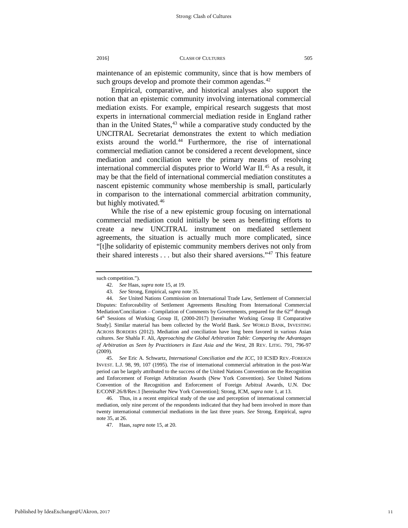maintenance of an epistemic community, since that is how members of such groups develop and promote their common agendas.<sup>[42](#page-11-0)</sup>

Empirical, comparative, and historical analyses also support the notion that an epistemic community involving international commercial mediation exists. For example, empirical research suggests that most experts in international commercial mediation reside in England rather than in the United States, $43$  while a comparative study conducted by the UNCITRAL Secretariat demonstrates the extent to which mediation exists around the world.<sup>[44](#page-11-2)</sup> Furthermore, the rise of international commercial mediation cannot be considered a recent development, since mediation and conciliation were the primary means of resolving international commercial disputes prior to World War  $II^{45}$  $II^{45}$  $II^{45}$  As a result, it may be that the field of international commercial mediation constitutes a nascent epistemic community whose membership is small, particularly in comparison to the international commercial arbitration community, but highly motivated.<sup>[46](#page-11-4)</sup>

While the rise of a new epistemic group focusing on international commercial mediation could initially be seen as benefitting efforts to create a new UNCITRAL instrument on mediated settlement agreements, the situation is actually much more complicated, since "[t]he solidarity of epistemic community members derives not only from their shared interests . . . but also their shared aversions."[47](#page-11-5) This feature

<span id="page-11-0"></span>such competition.").

<sup>42.</sup> *See* Haas, *supra* note 15, at 19.

<sup>43.</sup> *See* Strong, Empirical, *supra* note 35.

<span id="page-11-2"></span><span id="page-11-1"></span><sup>44.</sup> *See* United Nations Commission on International Trade Law, Settlement of Commercial Disputes: Enforceability of Settlement Agreements Resulting From International Commercial Mediation/Conciliation – Compilation of Comments by Governments, prepared for the  $62<sup>nd</sup>$  through 64th Sessions of Working Group II, (2000-2017) [hereinafter Working Group II Comparative Study]. Similar material has been collected by the World Bank. *See* WORLD BANK, INVESTING ACROSS BORDERS (2012). Mediation and conciliation have long been favored in various Asian cultures. *See* Shahla F. Ali, *Approaching the Global Arbitration Table: Comparing the Advantages of Arbitration as Seen by Practitioners in East Asia and the West*, 28 REV. LITIG. 791, 796-97 (2009).

<span id="page-11-3"></span><sup>45.</sup> *See* Eric A. Schwartz, *International Conciliation and the ICC*, 10 ICSID REV.-FOREIGN INVEST. L.J. 98, 99, 107 (1995). The rise of international commercial arbitration in the post-War period can be largely attributed to the success of the United Nations Convention on the Recognition and Enforcement of Foreign Arbitration Awards (New York Convention). *See* United Nations Convention of the Recognition and Enforcement of Foreign Arbitral Awards, U.N. Doc E/CONF.26/8/Rev.1 [hereinafter New York Convention]; Strong, ICM, *supra* note 1, at 13.

<span id="page-11-5"></span><span id="page-11-4"></span><sup>46.</sup> Thus, in a recent empirical study of the use and perception of international commercial mediation, only nine percent of the respondents indicated that they had been involved in more than twenty international commercial mediations in the last three years. *See* Strong, Empirical, *supra* note 35, at 26.

<sup>47.</sup> Haas, *supra* note 15, at 20.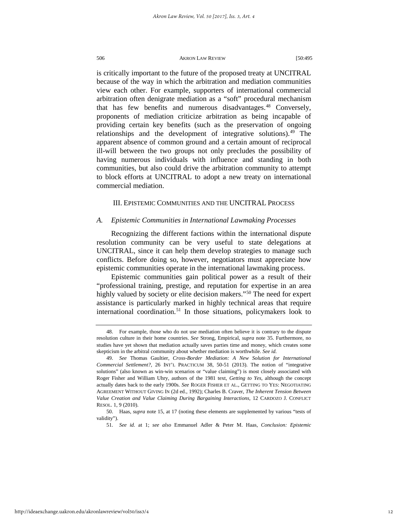is critically important to the future of the proposed treaty at UNCITRAL because of the way in which the arbitration and mediation communities view each other. For example, supporters of international commercial arbitration often denigrate mediation as a "soft" procedural mechanism that has few benefits and numerous disadvantages.<sup>[48](#page-12-0)</sup> Conversely, proponents of mediation criticize arbitration as being incapable of providing certain key benefits (such as the preservation of ongoing relationships and the development of integrative solutions).<sup>49</sup> The apparent absence of common ground and a certain amount of reciprocal ill-will between the two groups not only precludes the possibility of having numerous individuals with influence and standing in both communities, but also could drive the arbitration community to attempt to block efforts at UNCITRAL to adopt a new treaty on international commercial mediation.

## III. EPISTEMIC COMMUNITIES AND THE UNCITRAL PROCESS

#### *A. Epistemic Communities in International Lawmaking Processes*

Recognizing the different factions within the international dispute resolution community can be very useful to state delegations at UNCITRAL, since it can help them develop strategies to manage such conflicts. Before doing so, however, negotiators must appreciate how epistemic communities operate in the international lawmaking process.

Epistemic communities gain political power as a result of their "professional training, prestige, and reputation for expertise in an area highly valued by society or elite decision makers."<sup>[50](#page-12-2)</sup> The need for expert assistance is particularly marked in highly technical areas that require international coordination.<sup>[51](#page-12-3)</sup> In those situations, policymakers look to

<span id="page-12-3"></span>http://ideaexchange.uakron.edu/akronlawreview/vol50/iss3/4

<span id="page-12-0"></span><sup>48.</sup> For example, those who do not use mediation often believe it is contrary to the dispute resolution culture in their home countries. *See* Strong, Empirical, *supra* note 35. Furthermore, no studies have yet shown that mediation actually saves parties time and money, which creates some skepticism in the arbitral community about whether mediation is worthwhile. *See id.*

<span id="page-12-1"></span><sup>49.</sup> *See* Thomas Gaultier, *Cross-Border Mediation: A New Solution for International Commercial Settlement?,* 26 INT'L PRACTICUM 38, 50-51 (2013). The notion of "integrative solutions" (also known as win-win scenarios or "value claiming") is most closely associated with Roger Fisher and William Uhry, authors of the 1981 text, *Getting to Yes*, although the concept actually dates back to the early 1900s. *See* ROGER FISHER ET AL., GETTING TO YES: NEGOTIATING AGREEMENT WITHOUT GIVING IN (2d ed., 1992); Charles B. Craver, *The Inherent Tension Between Value Creation and Value Claiming During Bargaining Interactions,* 12 CARDOZO J. CONFLICT RESOL. 1, 9 (2010).

<span id="page-12-2"></span><sup>50.</sup> Haas, *supra* note 15, at 17 (noting these elements are supplemented by various "tests of validity").

<sup>51.</sup> *See id.* at 1; *see also* Emmanuel Adler & Peter M. Haas, *Conclusion: Epistemic*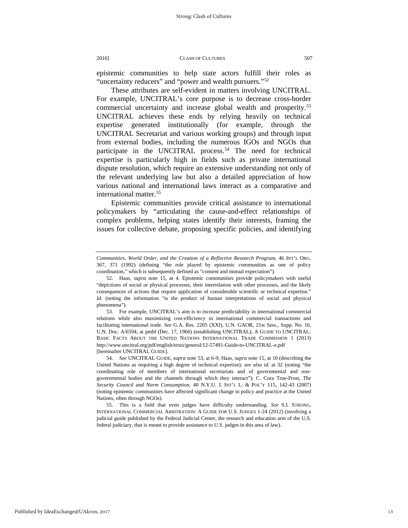epistemic communities to help state actors fulfill their roles as "uncertainty reducers" and "power and wealth pursuers."<sup>[52](#page-13-0)</sup>

These attributes are self-evident in matters involving UNCITRAL. For example, UNCITRAL's core purpose is to decrease cross-border commercial uncertainty and increase global wealth and prosperity.<sup>[53](#page-13-1)</sup> UNCITRAL achieves these ends by relying heavily on technical expertise generated institutionally (for example, through the UNCITRAL Secretariat and various working groups) and through input from external bodies, including the numerous IGOs and NGOs that participate in the UNCITRAL process.<sup>[54](#page-13-2)</sup> The need for technical expertise is particularly high in fields such as private international dispute resolution, which require an extensive understanding not only of the relevant underlying law but also a detailed appreciation of how various national and international laws interact as a comparative and international matter.<sup>[55](#page-13-3)</sup>

Epistemic communities provide critical assistance to international policymakers by "articulating the cause-and-effect relationships of complex problems, helping states identify their interests, framing the issues for collective debate, proposing specific policies, and identifying

*Communities, World Order, and the Creation of a Reflective Research Program,* 46 INT'L ORG. 367, 371 (1992) (defining "the role played by epistemic communities as one of policy coordination," which is subsequently defined as "consent and mutual expectation").

<span id="page-13-0"></span><sup>52.</sup> Haas, *supra* note 15, at 4. Epistemic communities provide policymakers with useful "depictions of social or physical processes, their interrelation with other processes, and the likely consequences of actions that require application of considerable scientific or technical expertise." *Id.* (noting the information "is the product of human interpretations of social and physical phenomena").

<span id="page-13-1"></span><sup>53.</sup> For example, UNCITRAL's aim is to increase predictability in international commercial relations while also maximizing cost-efficiency in international commercial transactions and facilitating international trade. *See* G.A. Res. 2205 (XXI), U.N. GAOR, 21st Sess., Supp. No. 16, U.N. Doc. A/6594, at pmbl (Dec. 17, 1966) (establishing UNCITRAL); A GUIDE TO UNCITRAL: BASIC FACTS ABOUT THE UNITED NATIONS INTERNATIONAL TRADE COMMISSION 1 (2013) http://www.uncitral.org/pdf/english/texts/general/12-57491-Guide-to-UNCITRAL-e.pdf [hereinafter UNCITRAL GUIDE].

<span id="page-13-2"></span><sup>54.</sup> *See* UNCITRAL GUIDE, *supra* note 53, at 6-9; Haas, *supra* note 15, at 10 (describing the United Nations as requiring a high degree of technical expertise); *see also id.* at 32 (noting "the coordinating role of members of international secretariats and of governmental and nongovernmental bodies and the channels through which they interact"); C. Cora True-Frost, *The Security Council and Norm Consumption,* 40 N.Y.U. J. INT'L L. & POL'Y 115, 142-43 (2007) (noting epistemic communities have affected significant change in policy and practice at the United Nations, often through NGOs).

<span id="page-13-3"></span><sup>55.</sup> This is a field that even judges have difficulty understanding. *See* S.I. STRONG, INTERNATIONAL COMMERCIAL ARBITRATION: A GUIDE FOR U.S. JUDGES 1-24 (2012) (involving a judicial guide published by the Federal Judicial Center, the research and education arm of the U.S. federal judiciary, that is meant to provide assistance to U.S. judges in this area of law).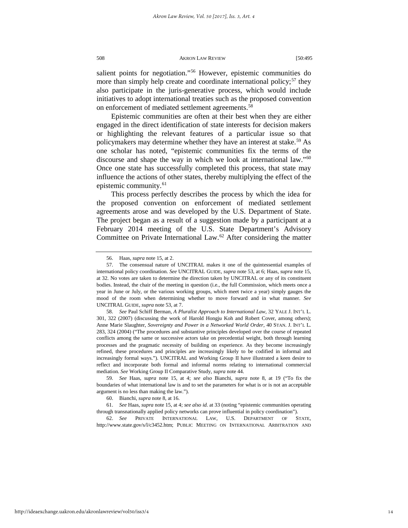salient points for negotiation."<sup>[56](#page-14-0)</sup> However, epistemic communities do more than simply help create and coordinate international policy;  $57$  they also participate in the juris-generative process, which would include initiatives to adopt international treaties such as the proposed convention on enforcement of mediated settlement agreements.<sup>[58](#page-14-2)</sup>

Epistemic communities are often at their best when they are either engaged in the direct identification of state interests for decision makers or highlighting the relevant features of a particular issue so that policymakers may determine whether they have an interest at stake.<sup>[59](#page-14-3)</sup> As one scholar has noted, "epistemic communities fix the terms of the discourse and shape the way in which we look at international law."<sup>[60](#page-14-4)</sup> Once one state has successfully completed this process, that state may influence the actions of other states, thereby multiplying the effect of the epistemic community.<sup>[61](#page-14-5)</sup>

This process perfectly describes the process by which the idea for the proposed convention on enforcement of mediated settlement agreements arose and was developed by the U.S. Department of State. The project began as a result of a suggestion made by a participant at a February 2014 meeting of the U.S. State Department's Advisory Committee on Private International Law. $62$  After considering the matter

<sup>56.</sup> Haas, *supra* note 15, at 2.

<span id="page-14-1"></span><span id="page-14-0"></span><sup>57.</sup> The consensual nature of UNCITRAL makes it one of the quintessential examples of international policy coordination. *See* UNCITRAL GUIDE, *supra* note 53, at 6; Haas, *supra* note 15, at 32. No votes are taken to determine the direction taken by UNCITRAL or any of its constituent bodies. Instead, the chair of the meeting in question (i.e., the full Commission, which meets once a year in June or July, or the various working groups, which meet twice a year) simply gauges the mood of the room when determining whether to move forward and in what manner. *See*  UNCITRAL GUIDE, *supra* note 53, at 7.

<span id="page-14-2"></span><sup>58.</sup> *See* Paul Schiff Berman, *A Pluralist Approach to International Law,* 32 YALE J. INT'L L. 301, 322 (2007) (discussing the work of Harold Hongju Koh and Robert Cover, among others); Anne Marie Slaughter, *Sovereignty and Power in a Networked World Order,* 40 STAN. J. INT'L L. 283, 324 (2004) ("The procedures and substantive principles developed over the course of repeated conflicts among the same or successive actors take on precedential weight, both through learning processes and the pragmatic necessity of building on experience. As they become increasingly refined, these procedures and principles are increasingly likely to be codified in informal and increasingly formal ways."). UNCITRAL and Working Group II have illustrated a keen desire to reflect and incorporate both formal and informal norms relating to international commercial mediation. *See* Working Group II Comparative Study, *supra* note 44.

<span id="page-14-3"></span><sup>59.</sup> *See* Haas, *supra* note 15, at 4; *see also* Bianchi, *supra* note 8, at 19 ("To fix the boundaries of what international law is and to set the parameters for what is or is not an acceptable argument is no less than making the law.").

<sup>60.</sup> Bianchi, *supra* note 8, at 16.

<span id="page-14-5"></span><span id="page-14-4"></span><sup>61.</sup> *See* Haas, *supra* note 15, at 4; *see also id.* at 33 (noting "epistemic communities operating through transnationally applied policy networks can prove influential in policy coordination").

<span id="page-14-6"></span><sup>62.</sup> *See* PRIVATE INTERNATIONAL LAW, U.S. DEPARTMENT OF STATE, [http://www.state.gov/s/l/c3452.htm;](http://www.state.gov/s/l/c3452.htm) PUBLIC MEETING ON INTERNATIONAL ARBITRATION AND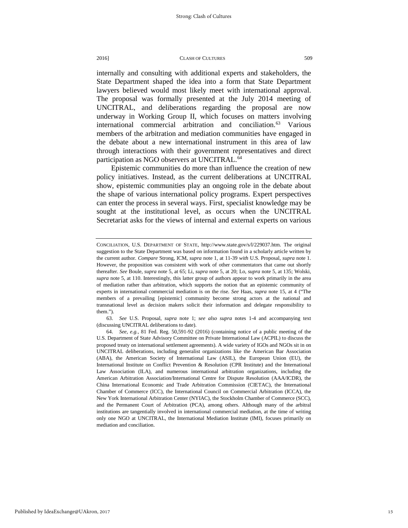internally and consulting with additional experts and stakeholders, the State Department shaped the idea into a form that State Department lawyers believed would most likely meet with international approval. The proposal was formally presented at the July 2014 meeting of UNCITRAL, and deliberations regarding the proposal are now underway in Working Group II, which focuses on matters involving international commercial arbitration and conciliation.[63](#page-15-0) Various members of the arbitration and mediation communities have engaged in the debate about a new international instrument in this area of law through interactions with their government representatives and direct participation as NGO observers at UNCITRAL.<sup>[64](#page-15-1)</sup>

Epistemic communities do more than influence the creation of new policy initiatives. Instead, as the current deliberations at UNCITRAL show, epistemic communities play an ongoing role in the debate about the shape of various international policy programs. Expert perspectives can enter the process in several ways. First, specialist knowledge may be sought at the institutional level, as occurs when the UNCITRAL Secretariat asks for the views of internal and external experts on various

<span id="page-15-0"></span>63. *See* U.S. Proposal, *supra* note 1; *see also supra* notes 1-4 and accompanying text (discussing UNCITRAL deliberations to date).

CONCILIATION, U.S. DEPARTMENT OF STATE, [http://www.state.gov/s/l/229037.htm.](https://mail.umsystem.edu/owa/redir.aspx?SURL=cy5B-lxJ8zQ4cS5qYyFE1TxVj-xzW-K722wSD5JvRKKz7nUc0SjTCGgAdAB0AHAAOgAvAC8AdwB3AHcALgBzAHQAYQB0AGUALgBnAG8AdgAvAHMALwBsAC8AMgAyADkAMAAzADcALgBoAHQAbQA.&URL=http%3a%2f%2fwww.state.gov%2fs%2fl%2f229037.htm) The original suggestion to the State Department was based on information found in a scholarly article written by the current author. *Compare* Strong, ICM, *supra* note 1, at 11-39 *with* U.S. Proposal, *supra* note 1. However, the proposition was consistent with work of other commentators that came out shortly thereafter. *See* Boule, *supra* note 5, at 65; Li, *supra* note 5, at 20; Lo, *supra* note 5, at 135; Wolski, *supra* note 5, at 110. Interestingly, this latter group of authors appear to work primarily in the area of mediation rather than arbitration, which supports the notion that an epistemic community of experts in international commercial mediation is on the rise. *See* Haas, *supra* note 15, at 4 ("The members of a prevailing [epistemic] community become strong actors at the national and transnational level as decision makers solicit their information and delegate responsibility to them.").

<span id="page-15-1"></span><sup>64.</sup> *See, e.g.,* 81 Fed. Reg. 50,591-92 (2016) (containing notice of a public meeting of the U.S. Department of State Advisory Committee on Private International Law (ACPIL) to discuss the proposed treaty on international settlement agreements). A wide variety of IGOs and NGOs sit in on UNCITRAL deliberations, including generalist organizations like the American Bar Association (ABA), the American Society of International Law (ASIL), the European Union (EU), the International Institute on Conflict Prevention & Resolution (CPR Institute) and the International Law Association (ILA), and numerous international arbitration organizations, including the American Arbitration Association/International Centre for Dispute Resolution (AAA/ICDR), the China International Economic and Trade Arbitration Commission (CIETAC), the International Chamber of Commerce (ICC), the International Council on Commercial Arbitration (ICCA), the New York International Arbitration Center (NYIAC), the Stockholm Chamber of Commerce (SCC), and the Permanent Court of Arbitration (PCA), among others. Although many of the arbitral institutions are tangentially involved in international commercial mediation, at the time of writing only one NGO at UNCITRAL, the International Mediation Institute (IMI), focuses primarily on mediation and conciliation.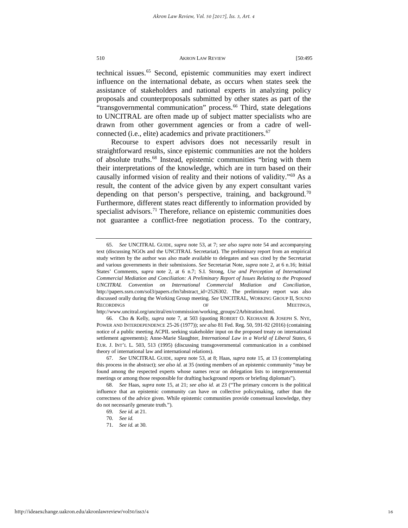technical issues[.65](#page-16-0) Second, epistemic communities may exert indirect influence on the international debate, as occurs when states seek the assistance of stakeholders and national experts in analyzing policy proposals and counterproposals submitted by other states as part of the "transgovernmental communication" process.<sup>[66](#page-16-1)</sup> Third, state delegations to UNCITRAL are often made up of subject matter specialists who are drawn from other government agencies or from a cadre of well-connected (i.e., elite) academics and private practitioners.<sup>[67](#page-16-2)</sup>

Recourse to expert advisors does not necessarily result in straightforward results, since epistemic communities are not the holders of absolute truths[.68](#page-16-3) Instead, epistemic communities "bring with them their interpretations of the knowledge, which are in turn based on their causally informed vision of reality and their notions of validity."[69](#page-16-4) As a result, the content of the advice given by any expert consultant varies depending on that person's perspective, training, and background.<sup>[70](#page-16-5)</sup> Furthermore, different states react differently to information provided by specialist advisors.<sup>[71](#page-16-6)</sup> Therefore, reliance on epistemic communities does not guarantee a conflict-free negotiation process. To the contrary,

http://www.uncitral.org/uncitral/en/commission/working\_groups/2Arbitration.html.

<span id="page-16-0"></span><sup>65.</sup> *See* UNCITRAL GUIDE, *supra* note 53, at 7; *see also supra* note 54 and accompanying text (discussing NGOs and the UNCITRAL Secretariat). The preliminary report from an empirical study written by the author was also made available to delegates and was cited by the Secretariat and various governments in their submissions. *See* Secretariat Note, *supra* note 2, at 6 n.16; Initial States' Comments, *supra* note 2, at 6 n.7; S.I. Strong, *Use and Perception of International Commercial Mediation and Conciliation: A Preliminary Report of Issues Relating to the Proposed UNCITRAL Convention on International Commercial Mediation and Conciliation,*  http://papers.ssrn.com/sol3/papers.cfm?abstract\_id=2526302. The preliminary report was also discussed orally during the Working Group meeting. *See* UNCITRAL, WORKING GROUP II, SOUND RECORDINGS OF SECORDINGS, THE SECORDINGS AND THE SECORDINGS, THE SECORDINGS, THE SECORDINGS, THE SECORDINGS, THE SECOND MEETINGS,

<span id="page-16-1"></span><sup>66.</sup> Cho & Kelly, *supra* note 7, at 503 (quoting ROBERT O. KEOHANE & JOSEPH S. NYE, POWER AND INTERDEPENDENCE 25-26 (1977)); *see also* 81 Fed. Reg. 50, 591-92 (2016) (containing notice of a public meeting ACPIL seeking stakeholder input on the proposed treaty on international settlement agreements); Anne-Marie Slaughter, *International Law in a World of Liberal States*, 6 EUR. J. INT'L L. 503, 513 (1995) (discussing transgovernmental communication in a combined theory of international law and international relations).

<span id="page-16-2"></span><sup>67.</sup> *See* UNCITRAL GUIDE, *supra* note 53, at 8; Haas, *supra* note 15, at 13 (contemplating this process in the abstract); *see also id.* at 35 (noting members of an epistemic community "may be found among the respected experts whose names recur on delegation lists to intergovernmental meetings or among those responsible for drafting background reports or briefing diplomats").

<span id="page-16-6"></span><span id="page-16-5"></span><span id="page-16-4"></span><span id="page-16-3"></span><sup>68.</sup> *See* Haas, *supra* note 15, at 21; *see also id.* at 23 ("The primary concern is the political influence that an epistemic community can have on collective policymaking, rather than the correctness of the advice given. While epistemic communities provide consensual knowledge, they do not necessarily generate truth.").

<sup>69.</sup> *See id.* at 21.

<sup>70.</sup> *See id.*

<sup>71.</sup> *See id.* at 30.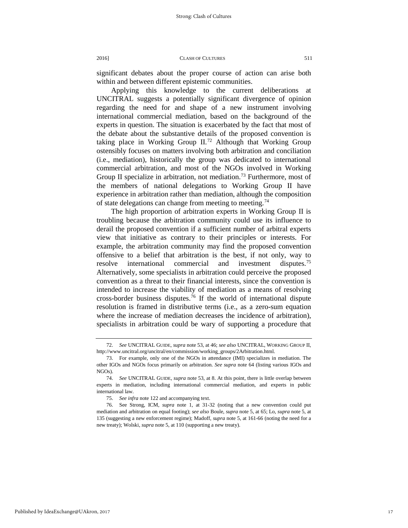significant debates about the proper course of action can arise both within and between different epistemic communities.

Applying this knowledge to the current deliberations at UNCITRAL suggests a potentially significant divergence of opinion regarding the need for and shape of a new instrument involving international commercial mediation, based on the background of the experts in question. The situation is exacerbated by the fact that most of the debate about the substantive details of the proposed convention is taking place in Working Group  $II^{2}$ . Although that Working Group ostensibly focuses on matters involving both arbitration and conciliation (i.e., mediation), historically the group was dedicated to international commercial arbitration, and most of the NGOs involved in Working Group II specialize in arbitration, not mediation.<sup>[73](#page-17-1)</sup> Furthermore, most of the members of national delegations to Working Group II have experience in arbitration rather than mediation, although the composition of state delegations can change from meeting to meeting.<sup>[74](#page-17-2)</sup>

The high proportion of arbitration experts in Working Group II is troubling because the arbitration community could use its influence to derail the proposed convention if a sufficient number of arbitral experts view that initiative as contrary to their principles or interests. For example, the arbitration community may find the proposed convention offensive to a belief that arbitration is the best, if not only, way to resolve international commercial and investment disputes.<sup>[75](#page-17-3)</sup> Alternatively, some specialists in arbitration could perceive the proposed convention as a threat to their financial interests, since the convention is intended to increase the viability of mediation as a means of resolving cross-border business disputes.[76](#page-17-4) If the world of international dispute resolution is framed in distributive terms (i.e., as a zero-sum equation where the increase of mediation decreases the incidence of arbitration), specialists in arbitration could be wary of supporting a procedure that

<span id="page-17-0"></span><sup>72.</sup> *See* UNCITRAL GUIDE, *supra* note 53, at 46; *see also* UNCITRAL, WORKING GROUP II, http://www.uncitral.org/uncitral/en/commission/working\_groups/2Arbitration.html.

<span id="page-17-1"></span><sup>73.</sup> For example, only one of the NGOs in attendance (IMI) specializes in mediation. The other IGOs and NGOs focus primarily on arbitration. *See supra* note 64 (listing various IGOs and NGOs).

<span id="page-17-2"></span><sup>74.</sup> *See* UNCITRAL GUIDE, *supra* note 53, at 8. At this point, there is little overlap between experts in mediation, including international commercial mediation, and experts in public international law.

<sup>75.</sup> *See infra* note 122 and accompanying text.

<span id="page-17-4"></span><span id="page-17-3"></span><sup>76.</sup> See Strong, ICM, *supra* note 1, at 31-32 (noting that a new convention could put mediation and arbitration on equal footing); *see also* Boule, *supra* note 5, at 65; Lo, *supra* note 5, at 135 (suggesting a new enforcement regime); Madoff, *supra* note 5, at 161-66 (noting the need for a new treaty); Wolski, *supra* note 5, at 110 (supporting a new treaty).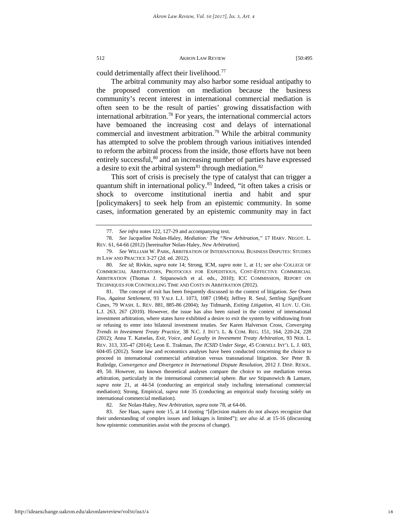could detrimentally affect their livelihood.<sup>[77](#page-18-0)</sup>

The arbitral community may also harbor some residual antipathy to the proposed convention on mediation because the business community's recent interest in international commercial mediation is often seen to be the result of parties' growing dissatisfaction with international arbitration.[78](#page-18-1) For years, the international commercial actors have bemoaned the increasing cost and delays of international commercial and investment arbitration.<sup>[79](#page-18-2)</sup> While the arbitral community has attempted to solve the problem through various initiatives intended to reform the arbitral process from the inside, those efforts have not been entirely successful,<sup>[80](#page-18-3)</sup> and an increasing number of parties have expressed a desire to exit the arbitral system $81$  through mediation. $82$ 

This sort of crisis is precisely the type of catalyst that can trigger a quantum shift in international policy.<sup>[83](#page-18-6)</sup> Indeed, "it often takes a crisis or shock to overcome institutional inertia and habit and spur [policymakers] to seek help from an epistemic community. In some cases, information generated by an epistemic community may in fact

<span id="page-18-4"></span>81. The concept of exit has been frequently discussed in the context of litigation. *See* Owen Fiss, *Against Settlement*, 93 YALE L.J. [1073, 1087 \(1984\);](https://a.next.westlaw.com/Link/Document/FullText?findType=Y&serNum=0102540417&pubNum=1292&originatingDoc=I4113cdb14b2d11db99a18fc28eb0d9ae&refType=LR&fi=co_pp_sp_1292_1087&originationContext=document&transitionType=DocumentItem&contextData=(sc.Search)#co_pp_sp_1292_1087) Jeffrey R. Seul, *Settling Significant Cases,* 79 WASH. L. REV. 881, 885-86 (2004); Jay Tidmarsh, *Exiting Litigation,* 41 LOY. U. CHI. L.J. 263, 267 (2010). However, the issue has also been raised in the context of international investment arbitration, where states have exhibited a desire to exit the system by withdrawing from or refusing to enter into bilateral investment treaties. *See* Karen Halverson Cross, *Converging Trends in Investment Treaty Practice*, 38 N.C. J. INT'L L. & COM. REG. 151, 164, 220-24, 228 (2012); Anna T. Katselas, *Exit, Voice, and Loyalty in Investment Treaty Arbitration,* 93 NEB. L. REV. 313, 335-47 (2014); Leon E. Trakman, *The ICSID Under Siege*, 45 CORNELL INT'L L. J. 603, 604-05 (2012). Some law and economics analyses have been conducted concerning the choice to proceed in international commercial arbitration versus transnational litigation. *See* Peter B. Rutledge, *Convergence and Divergence in International Dispute Resolution,* 2012 J. DISP. RESOL. 49, 50. However, no known theoretical analyses compare the choice to use mediation versus arbitration, particularly in the international commercial sphere. *But see* Stipanowich & Lamare, *supra* note 21, at 44-54 (conducting an empirical study including international commercial mediation); Strong, Empirical, *supra* note 35 (conducting an empirical study focusing solely on international commercial mediation).

http://ideaexchange.uakron.edu/akronlawreview/vol50/iss3/4

<sup>77.</sup> *See infra* notes 122, 127-29 and accompanying text.

<span id="page-18-1"></span><span id="page-18-0"></span><sup>78.</sup> *See* Jacqueline Nolan-Haley, *Mediation: The "New Arbitration*,*"* 17 HARV. NEGOT. L. REV. 61, 64-66 (2012) [hereinafter Nolan-Haley, *New Arbitration*].

<span id="page-18-2"></span><sup>79.</sup> *See* WILLIAM W. PARK, ARBITRATION OF INTERNATIONAL BUSINESS DISPUTES: STUDIES IN LAW AND PRACTICE 3-27 (2d. ed. 2012).

<span id="page-18-3"></span><sup>80.</sup> *See id*; Rivkin, *supra* note 14; Strong, ICM, *supra* note 1, at 11; *see also* COLLEGE OF COMMERCIAL ARBITRATORS, PROTOCOLS FOR EXPEDITIOUS, COST-EFFECTIVE COMMERCIAL ARBITRATION (Thomas J. Stipanowich et al. eds., 2010); ICC COMMISSION, REPORT ON TECHNIQUES FOR CONTROLLING TIME AND COSTS IN ARBITRATION (2012).

<sup>82</sup>*. See* Nolan-Haley, *New Arbitration, supra* note 78, at 64-66.

<span id="page-18-6"></span><span id="page-18-5"></span><sup>83.</sup> *See* Haas, *supra* note 15, at 14 (noting "[d]ecision makers do not always recognize that their understanding of complex issues and linkages is limited"); *see also id.* at 15-16 (discussing how epistemic communities assist with the process of change).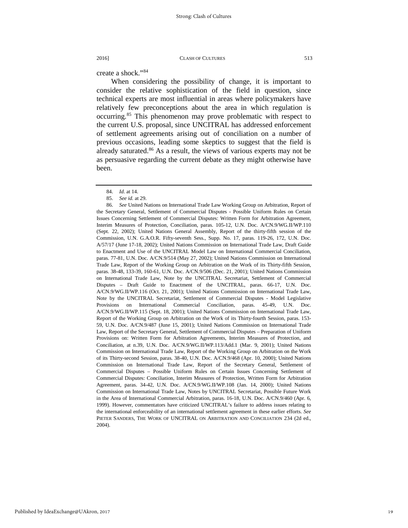create a shock."[84](#page-19-0)

When considering the possibility of change, it is important to consider the relative sophistication of the field in question, since technical experts are most influential in areas where policymakers have relatively few preconceptions about the area in which regulation is occurring.[85](#page-19-1) This phenomenon may prove problematic with respect to the current U.S. proposal, since UNCITRAL has addressed enforcement of settlement agreements arising out of conciliation on a number of previous occasions, leading some skeptics to suggest that the field is already saturated.<sup>[86](#page-19-2)</sup> As a result, the views of various experts may not be as persuasive regarding the current debate as they might otherwise have been.

<sup>84.</sup> *Id.* at 14.

<sup>85.</sup> *See id.* at 29.

<span id="page-19-2"></span><span id="page-19-1"></span><span id="page-19-0"></span><sup>86.</sup> *See* United Nations on International Trade Law Working Group on Arbitration, Report of the Secretary General, [Settlement of Commercial Disputes - Possible Uniform Rules on Certain](http://daccess-ods.un.org/access.nsf/Get?Open&JN=V0057271)  [Issues Concerning Settlement of Commercial Disputes: Written Form for Arbitration Agreement,](http://daccess-ods.un.org/access.nsf/Get?Open&JN=V0057271)  [Interim Measures of Protection, Conciliation,](http://daccess-ods.un.org/access.nsf/Get?Open&JN=V0057271) paras. 105-12, U.N. Doc. A/CN.9/WG.II/WP.110 (Sept. 22, 2002); United Nations General Assembly, Report of the thirty-fifth session of the Commission, U.N. G.A.O.R. Fifty-seventh Sess., Supp. No. 17, paras. 119-26, 172, U.N. Doc. A/57/17 (June 17-18, 2002); United Nations Commission on International Trade Law, [Draft Guide](http://daccess-ods.un.org/access.nsf/Get?Open&JN=V0254493)  [to Enactment and Use of the UNCITRAL Model Law on International Commercial Conciliation,](http://daccess-ods.un.org/access.nsf/Get?Open&JN=V0254493)  paras. 77-81, U.N. Doc. A/CN.9/514 (May 27, 2002); United Nations Commission on International Trade Law, Report of the Working Group on Arbitration on the Work of its Thirty-fifth Session, paras. 38-48, 133-39, 160-61, U.N. Doc. A/CN.9/506 (Dec. 21, 2001); United Nations Commission on International Trade Law, Note by the UNCITRAL Secretariat, [Settlement of Commercial](http://daccess-ods.un.org/access.nsf/Get?Open&JN=V0187804)  [Disputes – Draft Guide to Enactment of the UNCITRAL,](http://daccess-ods.un.org/access.nsf/Get?Open&JN=V0187804) paras. 66-17, U.N. Doc. A/CN.9/WG.II/WP.116 (Oct. 21, 2001); United Nations Commission on International Trade Law, Note by the UNCITRAL Secretariat, [Settlement of Commercial Disputes - Model Legislative](http://daccess-ods.un.org/access.nsf/Get?Open&JN=V0187223)  [Provisions on International Commercial Conciliation,](http://daccess-ods.un.org/access.nsf/Get?Open&JN=V0187223) paras. 45-49, U.N. Doc. A/CN.9/WG.II/WP.115 (Sept. 18, 2001); United Nations Commission on International Trade Law, Report of the Working Group on Arbitration on the Work of its Thirty-fourth Session, paras. 153- 59, U.N. Doc. A/CN.9/487 (June 15, 2001); United Nations Commission on International Trade Law, Report of the Secretary General, Settlement of Commercial Disputes – Preparation of Uniform Provisions on: Written Form for Arbitration Agreements, Interim Measures of Protection, and Conciliation, at n.39, U.N. Doc. A/CN.9/WG.II/WP.113/Add.1 (Mar. 9, 2001); United Nations Commission on International Trade Law, Report of the Working Group on Arbitration on the Work of its Thirty-second Session, paras. 38-40, U.N. Doc. A/CN.9/468 (Apr. 10, 2000); United Nations Commission on International Trade Law, Report of the Secretary General, Settlement of Commercial Disputes – Possible Uniform Rules on Certain Issues Concerning Settlement of Commercial Disputes: Conciliation, Interim Measures of Protection, Written Form for Arbitration Agreement, paras. 34-42, U.N. Doc. A/CN.9/WG.II/WP.108 (Jan. 14, 2000); United Nations Commission on International Trade Law, Notes by UNCITRAL Secretariat, Possible Future Work in the Area of International Commercial Arbitration, paras. 16-18, U.N. Doc. A/CN.9/460 (Apr. 6, 1999). However, commentators have criticized UNCITRAL's failure to address issues relating to the international enforceability of an international settlement agreement in these earlier efforts. *See*  PIETER SANDERS, THE WORK OF UNCITRAL ON ARBITRATION AND CONCILIATION 234 (2d ed., 2004).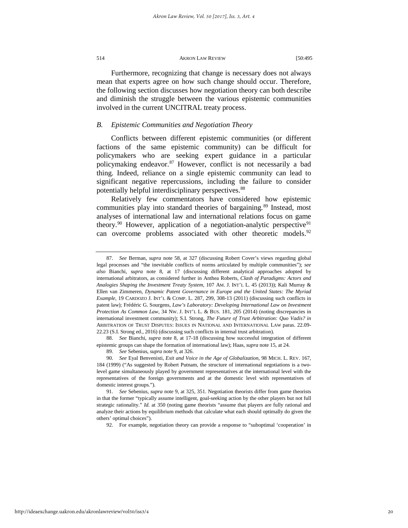Furthermore, recognizing that change is necessary does not always mean that experts agree on how such change should occur. Therefore, the following section discusses how negotiation theory can both describe and diminish the struggle between the various epistemic communities involved in the current UNCITRAL treaty process.

#### *B. Epistemic Communities and Negotiation Theory*

Conflicts between different epistemic communities (or different factions of the same epistemic community) can be difficult for policymakers who are seeking expert guidance in a particular policymaking endeavor.[87](#page-20-0) However, conflict is not necessarily a bad thing. Indeed, reliance on a single epistemic community can lead to significant negative repercussions, including the failure to consider potentially helpful interdisciplinary perspectives.<sup>[88](#page-20-1)</sup>

Relatively few commentators have considered how epistemic communities play into standard theories of bargaining.<sup>[89](#page-20-2)</sup> Instead, most analyses of international law and international relations focus on game theory.<sup>[90](#page-20-3)</sup> However, application of a negotiation-analytic perspective<sup>[91](#page-20-4)</sup> can overcome problems associated with other theoretic models.<sup>[92](#page-20-5)</sup>

<span id="page-20-1"></span>88. *See* Bianchi, *supra* note 8, at 17-18 (discussing how successful integration of different epistemic groups can shape the formation of international law); Haas, *supra* note 15, at 24.

92. For example, negotiation theory can provide a response to "suboptimal 'cooperation' in

<span id="page-20-0"></span><sup>87.</sup> *See* Berman, *supra* note 58, at 327 (discussing Robert Cover's views regarding global legal processes and "the inevitable conflicts of norms articulated by multiple communities"); *see also* Bianchi, *supra* note 8, at 17 (discussing different analytical approaches adopted by international arbitrators, as considered further in Anthea Roberts, *Clash of Paradigms: Actors and Analogies Shaping the Investment Treaty System*, 107 AM. J. INT'L L. 45 (2013)); Kali Murray & Ellen van Zimmeren, *Dynamic Patent Governance in Europe and the United States: The Myriad Example,* 19 CARDOZO J. INT'L & COMP. L. 287, 299, 308-13 (2011) (discussing such conflicts in patent law); Frédéric G. Sourgens, *Law's Laboratory: Developing International Law on Investment Protection As Common Law, 34 Nw. J. INT'L L. & BUS. 181, 205 (2014) (noting discrepancies in* international investment community); S.I. Strong, *The Future of Trust Arbitration: Quo Vadis? in* ARBITRATION OF TRUST DISPUTES: ISSUES IN NATIONAL AND INTERNATIONAL LAW paras. 22.09- 22.23 (S.I. Strong ed., 2016) (discussing such conflicts in internal trust arbitration).

<sup>89.</sup> *See* Sebenius, *supra* note 9, at 326.

<span id="page-20-3"></span><span id="page-20-2"></span><sup>90.</sup> *See* Eyal Benvenisti, *Exit and Voice in the Age of Globalization,* 98 MICH. L. REV. 167, 184 (1999) ("As suggested by Robert Putnam, the structure of international negotiations is a twolevel game simultaneously played by government representatives at the international level with the representatives of the foreign governments and at the domestic level with representatives of domestic interest groups.").

<span id="page-20-5"></span><span id="page-20-4"></span><sup>91.</sup> *See* Sebenius, *supra* note 9, at 325, 351. Negotiation theorists differ from game theorists in that the former "typically assume intelligent, goal-seeking action by the other players but not full strategic rationality." *Id.* at 350 (noting game theorists "assume that players are fully rational and analyze their actions by equilibrium methods that calculate what each should optimally do given the others' optimal choices").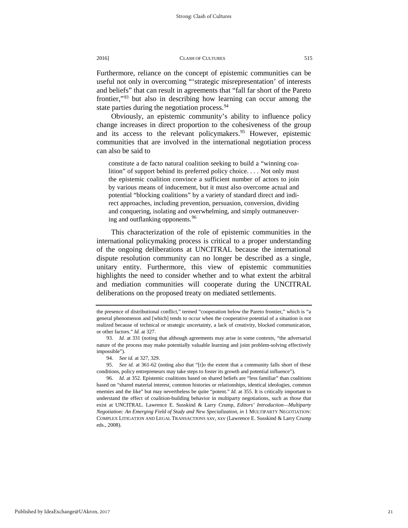Furthermore, reliance on the concept of epistemic communities can be useful not only in overcoming "'strategic misrepresentation' of interests and beliefs" that can result in agreements that "fall far short of the Pareto frontier,"[93](#page-21-0) but also in describing how learning can occur among the state parties during the negotiation process.<sup>[94](#page-21-1)</sup>

Obviously, an epistemic community's ability to influence policy change increases in direct proportion to the cohesiveness of the group and its access to the relevant policymakers.<sup>[95](#page-21-2)</sup> However, epistemic communities that are involved in the international negotiation process can also be said to

constitute a de facto natural coalition seeking to build a "winning coalition" of support behind its preferred policy choice. . . . Not only must the epistemic coalition convince a sufficient number of actors to join by various means of inducement, but it must also overcome actual and potential "blocking coalitions" by a variety of standard direct and indirect approaches, including prevention, persuasion, conversion, dividing and conquering, isolating and overwhelming, and simply outmaneuver-ing and outflanking opponents.<sup>[96](#page-21-3)</sup>

This characterization of the role of epistemic communities in the international policymaking process is critical to a proper understanding of the ongoing deliberations at UNCITRAL because the international dispute resolution community can no longer be described as a single, unitary entity. Furthermore, this view of epistemic communities highlights the need to consider whether and to what extent the arbitral and mediation communities will cooperate during the UNCITRAL deliberations on the proposed treaty on mediated settlements.

the presence of distributional conflict," termed "cooperation below the Pareto frontier," which is "a general phenomenon and [which] tends to occur when the cooperative potential of a situation is not realized because of technical or strategic uncertainty, a lack of creativity, blocked communication, or other factors." *Id.* at 327.

<span id="page-21-0"></span><sup>93.</sup> *Id.* at 331 (noting that although agreements may arise in some contexts, "the adversarial nature of the process may make potentially valuable learning and joint problem-solving effectively impossible").

<sup>94.</sup> *See id.* at 327, 329.

<span id="page-21-2"></span><span id="page-21-1"></span><sup>95.</sup> *See id.* at 361-62 (noting also that "[t]o the extent that a community falls short of these conditions, policy entrepreneurs may take steps to foster its growth and potential influence").

<span id="page-21-3"></span><sup>96.</sup> *Id.* at 352. Epistemic coalitions based on shared beliefs are "less familiar" than coalitions based on "shared material interest, common histories or relationships, identical ideologies, common enemies and the like" but may nevertheless be quite "potent." *Id.* at 355. It is critically important to understand the effect of coalition-building behavior in multiparty negotiations, such as those that exist at UNCITRAL. Lawrence E. Susskind & Larry Crump, *Editors' Introduction—Multiparty Negotiation: An Emerging Field of Study and New Specialization*, *in* 1 MULTIPARTY NEGOTIATION: COMPLEX LITIGATION AND LEGAL TRANSACTIONS xxv, xxv (Lawrence E. Susskind & Larry Crump eds., 2008).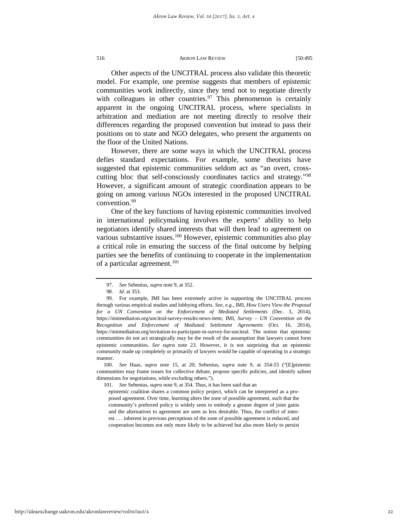Other aspects of the UNCITRAL process also validate this theoretic model. For example, one premise suggests that members of epistemic communities work indirectly, since they tend not to negotiate directly with colleagues in other countries.<sup>[97](#page-22-0)</sup> This phenomenon is certainly apparent in the ongoing UNCITRAL process, where specialists in arbitration and mediation are not meeting directly to resolve their differences regarding the proposed convention but instead to pass their positions on to state and NGO delegates, who present the arguments on the floor of the United Nations.

However, there are some ways in which the UNCITRAL process defies standard expectations. For example, some theorists have suggested that epistemic communities seldom act as "an overt, crosscutting bloc that self-consciously coordinates tactics and strategy."[98](#page-22-1) However, a significant amount of strategic coordination appears to be going on among various NGOs interested in the proposed UNCITRAL convention.<sup>[99](#page-22-2)</sup>

One of the key functions of having epistemic communities involved in international policymaking involves the experts' ability to help negotiators identify shared interests that will then lead to agreement on various substantive issues.<sup>100</sup> However, epistemic communities also play a critical role in ensuring the success of the final outcome by helping parties see the benefits of continuing to cooperate in the implementation of a particular agreement.<sup>101</sup>

<span id="page-22-4"></span><span id="page-22-3"></span>100. *See* Haas, *supra* note 15, at 20; Sebenius, *supra* note 9, at 354-55 ("[E]pistemic communities may frame issues for collective debate, propose specific policies, and identify salient dimensions for negotiations, while excluding others.").

101. *See* Sebenius, *supra* note 9, at 354. Thus, it has been said that an

epistemic coalition shares a common policy project, which can be interpreted as a proposed agreement. Over time, learning alters the zone of possible agreement, such that the community's preferred policy is widely seen to embody a greater degree of joint gains and the alternatives to agreement are seen as less desirable. Thus, the conflict of interest . . . inherent in previous perceptions of the zone of possible agreement is reduced, and cooperation becomes not only more likely to be achieved but also more likely to persist

<sup>97.</sup> *See* Sebenius, *supra* note 9, at 352.

<sup>98.</sup> *Id.* at 353.

<span id="page-22-2"></span><span id="page-22-1"></span><span id="page-22-0"></span><sup>99.</sup> For example, IMI has been extremely active in supporting the UNCITRAL process through various empirical studies and lobbying efforts. *See, e.g.,* IMI, *How Users View the Proposal for a UN Convention on the Enforcement of Mediated Settlements* (Dec. 3, 2014), https://imimediation.org/uncitral-survey-results-news-item; IMI, *Survey – UN Convention on the Recognition and Enforcement of Mediated Settlement Agreements* (Oct. 16, 2014), [https://imimediation.org/invitation-to-participate-in-survey-for-uncitral.](https://imimediation.org/invitation-to-participate-in-survey-for-uncitral) The notion that epistemic communities do not act strategically may be the result of the assumption that lawyers cannot form epistemic communities. *See supra* note 23. However, it is not surprising that an epistemic community made up completely or primarily of lawyers would be capable of operating in a strategic manner.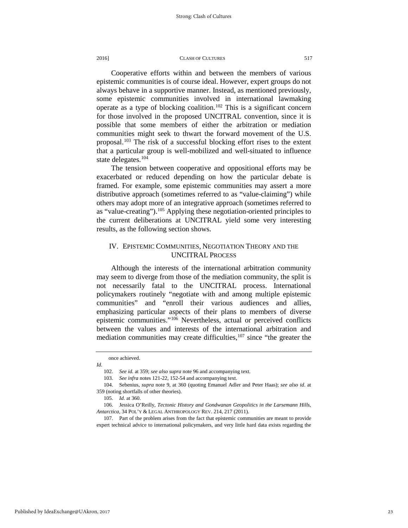Cooperative efforts within and between the members of various epistemic communities is of course ideal. However, expert groups do not always behave in a supportive manner. Instead, as mentioned previously, some epistemic communities involved in international lawmaking operate as a type of blocking coalition.<sup>[102](#page-23-0)</sup> This is a significant concern for those involved in the proposed UNCITRAL convention, since it is possible that some members of either the arbitration or mediation communities might seek to thwart the forward movement of the U.S. proposal.[103](#page-23-1) The risk of a successful blocking effort rises to the extent that a particular group is well-mobilized and well-situated to influence state delegates.<sup>[104](#page-23-2)</sup>

The tension between cooperative and oppositional efforts may be exacerbated or reduced depending on how the particular debate is framed. For example, some epistemic communities may assert a more distributive approach (sometimes referred to as "value-claiming") while others may adopt more of an integrative approach (sometimes referred to as "value-creating").<sup>[105](#page-23-3)</sup> Applying these negotiation-oriented principles to the current deliberations at UNCITRAL yield some very interesting results, as the following section shows.

# IV. EPISTEMIC COMMUNITIES, NEGOTIATION THEORY AND THE UNCITRAL PROCESS

Although the interests of the international arbitration community may seem to diverge from those of the mediation community, the split is not necessarily fatal to the UNCITRAL process. International policymakers routinely "negotiate with and among multiple epistemic communities" and "enroll their various audiences and allies, emphasizing particular aspects of their plans to members of diverse epistemic communities."[106](#page-23-4) Nevertheless, actual or perceived conflicts between the values and interests of the international arbitration and mediation communities may create difficulties,  $107$  since "the greater the

once achieved.

<span id="page-23-1"></span><span id="page-23-0"></span>*Id.*

<sup>102.</sup> *See id.* at 359; *see also supra* note 96 and accompanying text.

<sup>103.</sup> *See infra* notes 121-22, 152-54 and accompanying text.

<span id="page-23-2"></span><sup>104.</sup> Sebenius, *supra* note 9, at 360 (quoting Emanuel Adler and Peter Haas); *see also id*. at 359 (noting shortfalls of other theories).

<sup>105.</sup> *Id.* at 360.

<span id="page-23-4"></span><span id="page-23-3"></span><sup>106.</sup> Jessica O'Reilly, *Tectonic History and Gondwanan Geopolitics in the Larsemann Hills, Antarctica,* 34 POL'Y & LEGAL ANTHROPOLOGY REV. 214, 217 (2011).

<span id="page-23-5"></span><sup>107.</sup> Part of the problem arises from the fact that epistemic communities are meant to provide expert technical advice to international policymakers, and very little hard data exists regarding the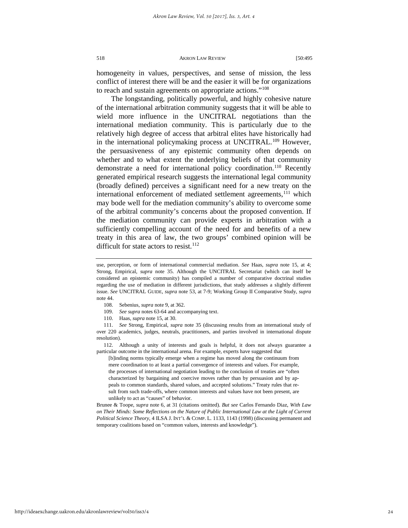homogeneity in values, perspectives, and sense of mission, the less conflict of interest there will be and the easier it will be for organizations to reach and sustain agreements on appropriate actions.["108](#page-24-0)

The longstanding, politically powerful, and highly cohesive nature of the international arbitration community suggests that it will be able to wield more influence in the UNCITRAL negotiations than the international mediation community. This is particularly due to the relatively high degree of access that arbitral elites have historically had in the international policymaking process at UNCITRAL.<sup>[109](#page-24-1)</sup> However, the persuasiveness of any epistemic community often depends on whether and to what extent the underlying beliefs of that community demonstrate a need for international policy coordination.<sup>[110](#page-24-2)</sup> Recently generated empirical research suggests the international legal community (broadly defined) perceives a significant need for a new treaty on the international enforcement of mediated settlement agreements,<sup>[111](#page-24-3)</sup> which may bode well for the mediation community's ability to overcome some of the arbitral community's concerns about the proposed convention. If the mediation community can provide experts in arbitration with a sufficiently compelling account of the need for and benefits of a new treaty in this area of law, the two groups' combined opinion will be difficult for state actors to resist.<sup>112</sup>

- 108. Sebenius, *supra* note 9, at 362.
- 109. *See supra* notes 63-64 and accompanying text.
- 110. Haas, *supra* note 15, at 30.

<span id="page-24-3"></span><span id="page-24-2"></span><span id="page-24-1"></span><span id="page-24-0"></span>111. *See* Strong, Empirical, *supra* note 35 (discussing results from an international study of over 220 academics, judges, neutrals, practitioners, and parties involved in international dispute resolution).

<span id="page-24-4"></span>112. Although a unity of interests and goals is helpful, it does not always guarantee a particular outcome in the international arena. For example, experts have suggested that

[b]inding norms typically emerge when a regime has moved along the continuum from mere coordination to at least a partial convergence of interests and values. For example, the processes of international negotiation leading to the conclusion of treaties are "often characterized by bargaining and coercive moves rather than by persuasion and by appeals to common standards, shared values, and accepted solutions." Treaty rules that result from such trade-offs, where common interests and values have not been present, are unlikely to act as "causes" of behavior.

Brunee & Toope, *supra* note 6, at 31 (citations omitted). *But see* Carlos Fernando Diaz, *With Law on Their Minds: Some Reflections on the Nature of Public International Law at the Light of Current Political Science Theory,* 4 ILSA J. INT'L & COMP. L. 1133, 1143 (1998) (discussing permanent and temporary coalitions based on "common values, interests and knowledge").

http://ideaexchange.uakron.edu/akronlawreview/vol50/iss3/4

use, perception, or form of international commercial mediation. *See* Haas, *supra* note 15, at 4; Strong, Empirical, *supra* note 35. Although the UNCITRAL Secretariat (which can itself be considered an epistemic community) has compiled a number of comparative doctrinal studies regarding the use of mediation in different jurisdictions, that study addresses a slightly different issue. *See* UNCITRAL GUIDE, *supra* note 53, at 7-9; Working Group II Comparative Study, *supra*  note 44.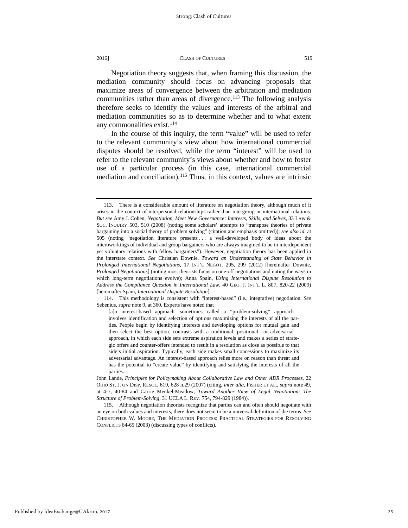Negotiation theory suggests that, when framing this discussion, the mediation community should focus on advancing proposals that maximize areas of convergence between the arbitration and mediation communities rather than areas of divergence.<sup>113</sup> The following analysis therefore seeks to identify the values and interests of the arbitral and mediation communities so as to determine whether and to what extent any commonalities exist.<sup>[114](#page-25-1)</sup>

In the course of this inquiry, the term "value" will be used to refer to the relevant community's view about how international commercial disputes should be resolved, while the term "interest" will be used to refer to the relevant community's views about whether and how to foster use of a particular process (in this case, international commercial mediation and conciliation).<sup>115</sup> Thus, in this context, values are intrinsic

<span id="page-25-0"></span><sup>113.</sup> There is a considerable amount of literature on negotiation theory, although much of it arises in the context of interpersonal relationships rather than intergroup or international relations. *But see* Amy J. Cohen, *Negotiation, Meet New Governance: Interests, Skills, and Selves,* 33 LAW & SOC. INQUIRY 503, 510 (2008) (noting some scholars' attempts to "transpose theories of private bargaining into a social theory of problem solving" (citation and emphasis omitted)); *see also id.* at 505 (noting "negotiation literature presents . . . a well-developed body of ideas about the microworkings of individual and group bargainers who are always imagined to be in interdependent yet voluntary relations with fellow bargainers"). However, negotiation theory has been applied in the interstate context. *See* Christian Downie, *Toward an Understanding of State Behavior in Prolonged International Negotiations,* 17 INT'L NEGOT. 295, 299 (2012) [hereinafter Downie, *Prolonged Negotiations*] (noting most theorists focus on one-off negotiations and noting the ways in which long-term negotiations evolve); Anna Spain, *Using International Dispute Resolution to Address the Compliance Question in International Law,* 40 GEO. J. INT'L L. 807, 820-22 (2009) [hereinafter Spain, *International Dispute Resolution*].

<span id="page-25-1"></span><sup>114.</sup> This methodology is consistent with "interest-based" (i.e., integrative) negotiation. *See*  Sebenius, *supra* note 9, at 360. Experts have noted that

<sup>[</sup>a]n interest-based approach—sometimes called a "problem-solving" approach involves identification and selection of options maximizing the interests of all the parties. People begin by identifying interests and developing options for mutual gain and then select the best option. contrasts with a traditional, positional—or adversarial approach, in which each side sets extreme aspiration levels and makes a series of strategic offers and counter-offers intended to result in a resolution as close as possible to that side's initial aspiration. Typically, each side makes small concessions to maximize its adversarial advantage. An interest-based approach relies more on reason than threat and has the potential to "create value" by identifying and satisfying the interests of all the parties.

John Lande, *Principles for Policymaking About Collaborative Law and Other ADR Processes,* 22 OHIO ST. J. ON DISP. RESOL. 619, 628 n.29 (2007) (citing, *inter alia,* FISHER ET AL., *supra* note 49, at 4-7, 40-84 and Carrie Menkel-Meadow, *[Toward Another View of Legal](https://a.next.westlaw.com/Link/Document/FullText?findType=Y&serNum=0101333485&pubNum=3041&originatingDoc=Ie96eb49124fb11dcb825e1c0ddbb510c&refType=LR&fi=co_pp_sp_3041_794&originationContext=document&transitionType=DocumentItem&contextData=(sc.Search)#co_pp_sp_3041_794) Negotiation: The [Structure of Problem-Solving](https://a.next.westlaw.com/Link/Document/FullText?findType=Y&serNum=0101333485&pubNum=3041&originatingDoc=Ie96eb49124fb11dcb825e1c0ddbb510c&refType=LR&fi=co_pp_sp_3041_794&originationContext=document&transitionType=DocumentItem&contextData=(sc.Search)#co_pp_sp_3041_794)*, 31 UCLA L. REV. 754, 794-829 (1984)).

<span id="page-25-2"></span><sup>115.</sup> Although negotiation theorists recognize that parties can and often should negotiate with an eye on both values and interests, there does not seem to be a universal definition of the terms. *See*  CHRISTOPHER W. MOORE, THE MEDIATION PROCESS: PRACTICAL STRATEGIES FOR RESOLVING CONFLICTS 64-65 (2003) (discussing types of conflicts).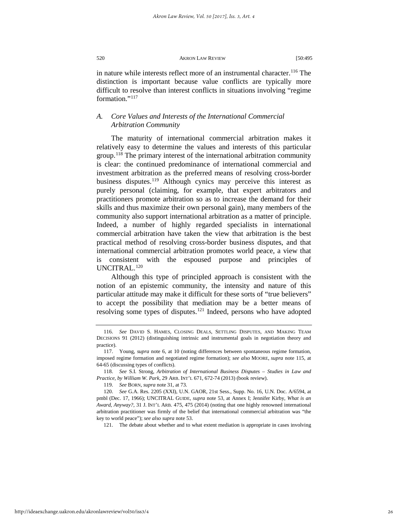in nature while interests reflect more of an instrumental character.<sup>116</sup> The distinction is important because value conflicts are typically more difficult to resolve than interest conflicts in situations involving "regime formation."<sup>117</sup>

# *A. Core Values and Interests of the International Commercial Arbitration Community*

The maturity of international commercial arbitration makes it relatively easy to determine the values and interests of this particular group.<sup>[118](#page-26-2)</sup> The primary interest of the international arbitration community is clear: the continued predominance of international commercial and investment arbitration as the preferred means of resolving cross-border business disputes.<sup>[119](#page-26-3)</sup> Although cynics may perceive this interest as purely personal (claiming, for example, that expert arbitrators and practitioners promote arbitration so as to increase the demand for their skills and thus maximize their own personal gain), many members of the community also support international arbitration as a matter of principle. Indeed, a number of highly regarded specialists in international commercial arbitration have taken the view that arbitration is the best practical method of resolving cross-border business disputes, and that international commercial arbitration promotes world peace, a view that is consistent with the espoused purpose and principles of UNCITRAL.[120](#page-26-4)

Although this type of principled approach is consistent with the notion of an epistemic community, the intensity and nature of this particular attitude may make it difficult for these sorts of "true believers" to accept the possibility that mediation may be a better means of resolving some types of disputes.<sup>[121](#page-26-5)</sup> Indeed, persons who have adopted

121. The debate about whether and to what extent mediation is appropriate in cases involving

<span id="page-26-0"></span><sup>116.</sup> *See* DAVID S. HAMES, CLOSING DEALS, SETTLING DISPUTES, AND MAKING TEAM DECISIONS 91 (2012) (distinguishing intrinsic and instrumental goals in negotiation theory and practice).

<span id="page-26-1"></span><sup>117.</sup> Young, *supra* note 6, at 10 (noting differences between spontaneous regime formation, imposed regime formation and negotiated regime formation); *see also* MOORE, *supra* note 115, at 64-65 (discussing types of conflicts).

<span id="page-26-4"></span><span id="page-26-3"></span><span id="page-26-2"></span><sup>118.</sup> *See* S.I. Strong, *Arbitration of International Business Disputes – Studies in Law and Practice, by William W. Park*, 29 ARB. INT'L 671, 672-74 (2013) (book review).

<sup>119.</sup> *See* BORN, *supra* note 31, at 73.

<span id="page-26-5"></span><sup>120.</sup> *See* G.A. Res. 2205 (XXI), U.N. GAOR, 21st Sess., Supp. No. 16, U.N. Doc. A/6594, at pmbl (Dec. 17, 1966); UNCITRAL GUIDE, *supra* note 53, at Annex I; Jennifer Kirby, *What is an Award, Anyway?*, 31 J. INT'L ARB. 475, 475 (2014) (noting that one highly renowned international arbitration practitioner was firmly of the belief that international commercial arbitration was "the key to world peace"); *see also supra* note 53.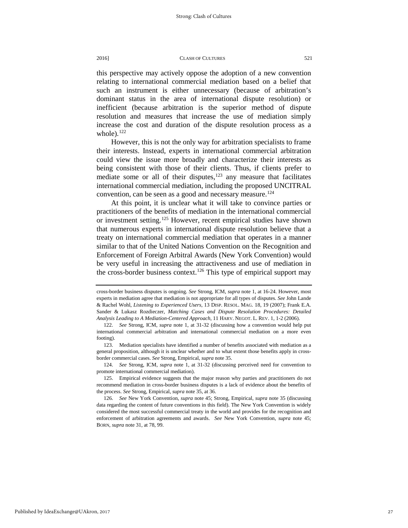this perspective may actively oppose the adoption of a new convention relating to international commercial mediation based on a belief that such an instrument is either unnecessary (because of arbitration's dominant status in the area of international dispute resolution) or inefficient (because arbitration is the superior method of dispute resolution and measures that increase the use of mediation simply increase the cost and duration of the dispute resolution process as a whole). $122$ 

However, this is not the only way for arbitration specialists to frame their interests. Instead, experts in international commercial arbitration could view the issue more broadly and characterize their interests as being consistent with those of their clients. Thus, if clients prefer to mediate some or all of their disputes, $123$  any measure that facilitates international commercial mediation, including the proposed UNCITRAL convention, can be seen as a good and necessary measure.<sup>[124](#page-27-2)</sup>

At this point, it is unclear what it will take to convince parties or practitioners of the benefits of mediation in the international commercial or investment setting.<sup>[125](#page-27-3)</sup> However, recent empirical studies have shown that numerous experts in international dispute resolution believe that a treaty on international commercial mediation that operates in a manner similar to that of the United Nations Convention on the Recognition and Enforcement of Foreign Arbitral Awards (New York Convention) would be very useful in increasing the attractiveness and use of mediation in the cross-border business context.<sup>[126](#page-27-4)</sup> This type of empirical support may

<span id="page-27-2"></span>124. *See* Strong, ICM, *supra* note 1, at 31-32 (discussing perceived need for convention to promote international commercial mediation).

cross-border business disputes is ongoing. *See* Strong, ICM, *supra* note 1, at 16-24. However, most experts in mediation agree that mediation is not appropriate for all types of disputes. *See* John Lande & Rachel Wohl, *Listening to Experienced Users*, 13 DISP. RESOL. MAG. 18, 19 (2007); Frank E.A. Sander & Lukasz Rozdieczer, *Matching Cases and Dispute Resolution Procedures: Detailed Analysis Leading to A Mediation-Centered Approach*, 11 HARV. NEGOT. L. REV. 1, 1-2 (2006).

<span id="page-27-0"></span><sup>122.</sup> *See* Strong, ICM, *supra* note 1, at 31-32 (discussing how a convention would help put international commercial arbitration and international commercial mediation on a more even footing).

<span id="page-27-1"></span><sup>123.</sup> Mediation specialists have identified a number of benefits associated with mediation as a general proposition, although it is unclear whether and to what extent those benefits apply in crossborder commercial cases. *See* Strong, Empirical, *supra* note 35.

<span id="page-27-3"></span><sup>125.</sup> Empirical evidence suggests that the major reason why parties and practitioners do not recommend mediation in cross-border business disputes is a lack of evidence about the benefits of the process. *See* Strong, Empirical, *supra* note 35, at 36.

<span id="page-27-4"></span><sup>126.</sup> *See* New York Convention, *supra* note 45; Strong, Empirical, *supra* note 35 (discussing data regarding the content of future conventions in this field). The New York Convention is widely considered the most successful commercial treaty in the world and provides for the recognition and enforcement of arbitration agreements and awards. *See* New York Convention, *supra* note 45; BORN, *supra* note 31, at 78, 99.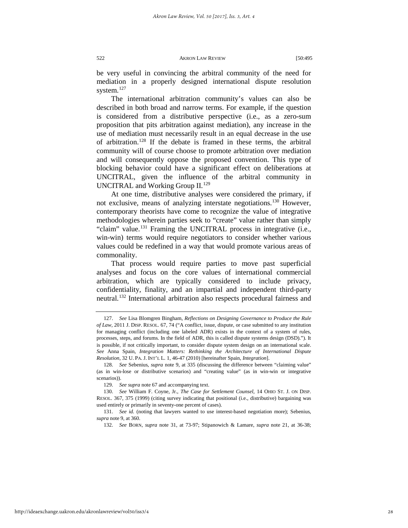be very useful in convincing the arbitral community of the need for mediation in a properly designed international dispute resolution system.<sup>[127](#page-28-0)</sup>

The international arbitration community's values can also be described in both broad and narrow terms. For example, if the question is considered from a distributive perspective (i.e., as a zero-sum proposition that pits arbitration against mediation), any increase in the use of mediation must necessarily result in an equal decrease in the use of arbitration.[128](#page-28-1) If the debate is framed in these terms, the arbitral community will of course choose to promote arbitration over mediation and will consequently oppose the proposed convention. This type of blocking behavior could have a significant effect on deliberations at UNCITRAL, given the influence of the arbitral community in UNCITRAL and Working Group II.<sup>[129](#page-28-2)</sup>

At one time, distributive analyses were considered the primary, if not exclusive, means of analyzing interstate negotiations.[130](#page-28-3) However, contemporary theorists have come to recognize the value of integrative methodologies wherein parties seek to "create" value rather than simply "claim" value.<sup>[131](#page-28-4)</sup> Framing the UNCITRAL process in integrative (i.e., win-win) terms would require negotiators to consider whether various values could be redefined in a way that would promote various areas of commonality.

That process would require parties to move past superficial analyses and focus on the core values of international commercial arbitration, which are typically considered to include privacy, confidentiality, finality, and an impartial and independent third-party neutral.[132](#page-28-5) International arbitration also respects procedural fairness and

<span id="page-28-0"></span><sup>127.</sup> *See* Lisa Blomgren Bingham, *[Reflections on Designing Governance to Produce the Rule](https://a.next.westlaw.com/Link/Document/FullText?findType=Y&serNum=0364660611&pubNum=0001638&originatingDoc=I7211fb2c816f11e28578f7ccc38dcbee&refType=LR&fi=co_pp_sp_1638_76&originationContext=document&transitionType=DocumentItem&contextData=(sc.Search)#co_pp_sp_1638_76) of Law*, 2011 J. DISP. [RESOL. 67, 74 \(](https://a.next.westlaw.com/Link/Document/FullText?findType=Y&serNum=0364660611&pubNum=0001638&originatingDoc=I7211fb2c816f11e28578f7ccc38dcbee&refType=LR&fi=co_pp_sp_1638_76&originationContext=document&transitionType=DocumentItem&contextData=(sc.Search)#co_pp_sp_1638_76)"A conflict, issue, dispute, or case submitted to any institution for managing conflict (including one labeled ADR) exists in the context of a system of rules, processes, steps, and forums. In the field of ADR, this is called dispute systems design (DSD)."). It is possible, if not critically important, to consider dispute system design on an international scale. *See* Anna Spain, *[Integration Matters: Rethinking the Architecture of International Dispute](https://a.next.westlaw.com/Link/Document/FullText?findType=Y&serNum=0357122269&pubNum=0202791&originatingDoc=I7211fb2c816f11e28578f7ccc38dcbee&refType=LR&fi=co_pp_sp_202791_46&originationContext=document&transitionType=DocumentItem&contextData=(sc.Search)#co_pp_sp_202791_46)  Resolution*, 32 U. PA. J. INT'L L. [1, 46-47 \(2010\)](https://a.next.westlaw.com/Link/Document/FullText?findType=Y&serNum=0357122269&pubNum=0202791&originatingDoc=I7211fb2c816f11e28578f7ccc38dcbee&refType=LR&fi=co_pp_sp_202791_46&originationContext=document&transitionType=DocumentItem&contextData=(sc.Search)#co_pp_sp_202791_46) [hereinafter Spain, *Integration*].

<span id="page-28-1"></span><sup>128.</sup> *See* Sebenius, *supra* note 9, at 335 (discussing the difference between "claiming value" (as in win-lose or distributive scenarios) and "creating value" (as in win-win or integrative scenarios)).

<sup>129.</sup> *See supra* note 67 and accompanying text.

<span id="page-28-3"></span><span id="page-28-2"></span><sup>130.</sup> *See* William F. Coyne, Jr., *The Case for Settlement Counsel,* 14 OHIO ST. J. ON DISP. RESOL. 367, 375 (1999) (citing survey indicating that positional (i.e., distributive) bargaining was used entirely or primarily in seventy-one percent of cases).

<span id="page-28-5"></span><span id="page-28-4"></span><sup>131.</sup> *See id.* (noting that lawyers wanted to use interest-based negotiation more); Sebenius, *supra* note 9, at 360.

<sup>132.</sup> *See* BORN, *supra* note 31, at 73-97; Stipanowich & Lamare, *supra* note 21, at 36-38;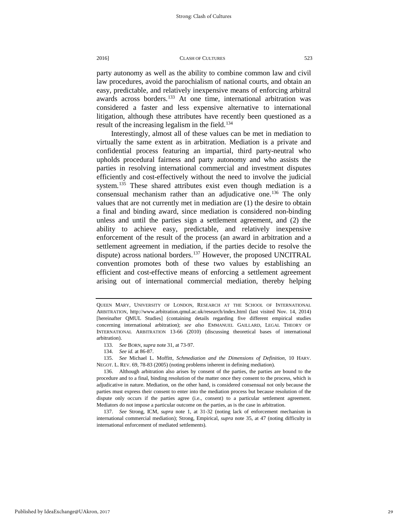party autonomy as well as the ability to combine common law and civil law procedures, avoid the parochialism of national courts, and obtain an easy, predictable, and relatively inexpensive means of enforcing arbitral awards across borders.<sup>[133](#page-29-0)</sup> At one time, international arbitration was considered a faster and less expensive alternative to international litigation, although these attributes have recently been questioned as a result of the increasing legalism in the field.<sup>[134](#page-29-1)</sup>

Interestingly, almost all of these values can be met in mediation to virtually the same extent as in arbitration. Mediation is a private and confidential process featuring an impartial, third party-neutral who upholds procedural fairness and party autonomy and who assists the parties in resolving international commercial and investment disputes efficiently and cost-effectively without the need to involve the judicial system.<sup>[135](#page-29-2)</sup> These shared attributes exist even though mediation is a consensual mechanism rather than an adjudicative one.<sup>[136](#page-29-3)</sup> The only values that are not currently met in mediation are (1) the desire to obtain a final and binding award, since mediation is considered non-binding unless and until the parties sign a settlement agreement, and (2) the ability to achieve easy, predictable, and relatively inexpensive enforcement of the result of the process (an award in arbitration and a settlement agreement in mediation, if the parties decide to resolve the dispute) across national borders.<sup>[137](#page-29-4)</sup> However, the proposed UNCITRAL convention promotes both of these two values by establishing an efficient and cost-effective means of enforcing a settlement agreement arising out of international commercial mediation, thereby helping

<span id="page-29-2"></span><span id="page-29-1"></span><span id="page-29-0"></span>135. *See* Michael L. Moffitt, *Schmediation and the Dimensions of Definition,* 10 HARV. NEGOT. L. REV. 69, 78-83 (2005) (noting problems inherent in defining mediation).

QUEEN MARY, UNIVERSITY OF LONDON, RESEARCH AT THE SCHOOL OF INTERNATIONAL ARBITRATION, http://www.arbitration.qmul.ac.uk/research/index.html (last visited Nov. 14, 2014) [hereinafter QMUL Studies] (containing details regarding five different empirical studies concerning international arbitration); *see also* EMMANUEL GAILLARD, LEGAL THEORY OF INTERNATIONAL ARBITRATION 13-66 (2010) (discussing theoretical bases of international arbitration).

<sup>133.</sup> *See* BORN, *supra* note 31, at 73-97.

<sup>134.</sup> *See id.* at 86-87.

<span id="page-29-3"></span><sup>136.</sup> Although arbitration also arises by consent of the parties, the parties are bound to the procedure and to a final, binding resolution of the matter once they consent to the process, which is adjudicative in nature. Mediation, on the other hand, is considered consensual not only because the parties must express their consent to enter into the mediation process but because resolution of the dispute only occurs if the parties agree (i.e., consent) to a particular settlement agreement. Mediators do not impose a particular outcome on the parties, as is the case in arbitration.

<span id="page-29-4"></span><sup>137.</sup> *See* Strong, ICM, *supra* note 1, at 31-32 (noting lack of enforcement mechanism in international commercial mediation); Strong, Empirical, *supra* note 35, at 47 (noting difficulty in international enforcement of mediated settlements).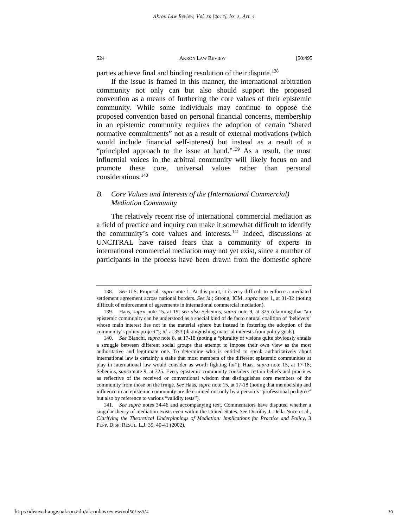parties achieve final and binding resolution of their dispute.<sup>[138](#page-30-0)</sup>

If the issue is framed in this manner, the international arbitration community not only can but also should support the proposed convention as a means of furthering the core values of their epistemic community. While some individuals may continue to oppose the proposed convention based on personal financial concerns, membership in an epistemic community requires the adoption of certain "shared normative commitments" not as a result of external motivations (which would include financial self-interest) but instead as a result of a "principled approach to the issue at hand."<sup>[139](#page-30-1)</sup> As a result, the most influential voices in the arbitral community will likely focus on and promote these core, universal values rather than personal considerations.[140](#page-30-2)

# *B. Core Values and Interests of the (International Commercial) Mediation Community*

The relatively recent rise of international commercial mediation as a field of practice and inquiry can make it somewhat difficult to identify the community's core values and interests.<sup>141</sup> Indeed, discussions at UNCITRAL have raised fears that a community of experts in international commercial mediation may not yet exist, since a number of participants in the process have been drawn from the domestic sphere

<span id="page-30-0"></span><sup>138.</sup> *See* U.S. Proposal, *supra* note 1. At this point, it is very difficult to enforce a mediated settlement agreement across national borders. *See id.*; Strong, ICM, *supra* note 1, at 31-32 (noting difficult of enforcement of agreements in international commercial mediation).

<span id="page-30-1"></span><sup>139.</sup> Haas, *supra* note 15, at 19; *see also* Sebenius, *supra* note 9, at 325 (claiming that "an epistemic community can be understood as a special kind of de facto natural coalition of 'believers' whose main interest lies not in the material sphere but instead in fostering the adoption of the community's policy project"); *id.* at 353 (distinguishing material interests from policy goals).

<span id="page-30-2"></span><sup>140.</sup> *See* Bianchi, *supra* note 8, at 17-18 (noting a "plurality of visions quite obviously entails a struggle between different social groups that attempt to impose their own view as the most authoritative and legitimate one. To determine who is entitled to speak authoritatively about international law is certainly a stake that most members of the different epistemic communities at play in international law would consider as worth fighting for"); Haas, *supra* note 15, at 17-18; Sebenius, *supra* note 9, at 325. Every epistemic community considers certain beliefs and practices as reflective of the received or conventional wisdom that distinguishes core members of the community from those on the fringe. *See* Haas, *supra* note 15, at 17-18 (noting that membership and influence in an epistemic community are determined not only by a person's "professional pedigree" but also by reference to various "validity tests").

<span id="page-30-3"></span><sup>141.</sup> *See supra* notes 34-46 and accompanying text. Commentators have disputed whether a singular theory of mediation exists even within the United States. *See* Dorothy J. Della Noce et al., *Clarifying the Theoretical Underpinnings of Mediation: Implications for Practice and Policy,* 3 PEPP. DISP. RESOL. L.J. 39, 40-41 (2002).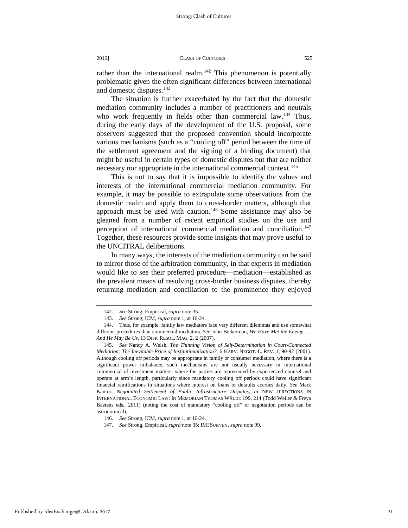rather than the international realm.<sup>[142](#page-31-0)</sup> This phenomenon is potentially problematic given the often significant differences between international and domestic disputes.<sup>143</sup>

The situation is further exacerbated by the fact that the domestic mediation community includes a number of practitioners and neutrals who work frequently in fields other than commercial law.<sup>[144](#page-31-2)</sup> Thus, during the early days of the development of the U.S. proposal, some observers suggested that the proposed convention should incorporate various mechanisms (such as a "cooling off" period between the time of the settlement agreement and the signing of a binding document) that might be useful in certain types of domestic disputes but that are neither necessary nor appropriate in the international commercial context.<sup>[145](#page-31-3)</sup>

This is not to say that it is impossible to identify the values and interests of the international commercial mediation community. For example, it may be possible to extrapolate some observations from the domestic realm and apply them to cross-border matters, although that approach must be used with caution.<sup>[146](#page-31-4)</sup> Some assistance may also be gleaned from a number of recent empirical studies on the use and perception of international commercial mediation and conciliation.<sup>147</sup> Together, these resources provide some insights that may prove useful to the UNCITRAL deliberations.

In many ways, the interests of the mediation community can be said to mirror those of the arbitration community, in that experts in mediation would like to see their preferred procedure—mediation—established as the prevalent means of resolving cross-border business disputes, thereby returning mediation and conciliation to the prominence they enjoyed

<sup>142.</sup> *See* Strong, Empirical, *supra* note 35.

<sup>143.</sup> *See* Strong, ICM, *supra* note 1, at 16-24.

<span id="page-31-2"></span><span id="page-31-1"></span><span id="page-31-0"></span><sup>144.</sup> Thus, for example, family law mediators face very different dilemmas and use somewhat different procedures than commercial mediators. *See* John Bickerman, *We Have Met the Enemy . . . And He May Be Us,* 13 DISP. RESOL. MAG. 2, 2 (2007).

<span id="page-31-3"></span><sup>145.</sup> *See* Nancy A. Welsh, *The Thinning Vision of Self-Determination in Court-Connected Mediation: The Inevitable Price of Institutionalization?*, 6 HARV. NEGOT. L. REV. 1, 90-92 (2001). Although cooling off periods may be appropriate in family or consumer mediation, where there is a significant power imbalance, such mechanisms are not usually necessary in international commercial of investment matters, where the parties are represented by experienced counsel and operate at arm's length, particularly since mandatory cooling off periods could have significant financial ramifications in situations where interest on loans or defaults accrues daily. *See* Mark Kantor, *Negotiated Settlement of Public Infrastructure Disputes*, *in* NEW DIRECTIONS IN INTERNATIONAL ECONOMIC LAW: IN MEMORIAM THOMAS WÄLDE 199, 214 (Todd Weiler & Freya Baetens eds., 2011) (noting the cost of mandatory "cooling off" or negotiation periods can be astronomical).

<span id="page-31-5"></span><span id="page-31-4"></span><sup>146.</sup> *See* Strong, ICM, *supra* note 1, at 16-24.

<sup>147.</sup> *See* Strong, Empirical, *supra* note 35; IMI SURVEY, *supra* note 99.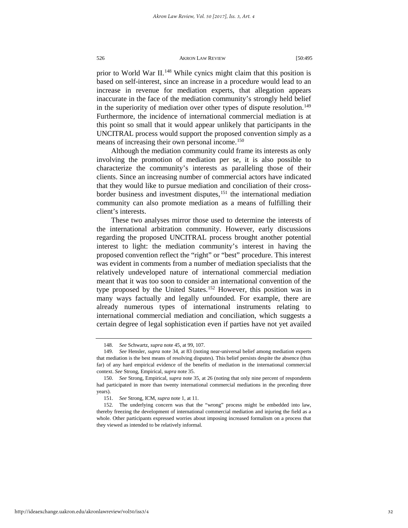prior to World War II.<sup>[148](#page-32-0)</sup> While cynics might claim that this position is based on self-interest, since an increase in a procedure would lead to an increase in revenue for mediation experts, that allegation appears inaccurate in the face of the mediation community's strongly held belief in the superiority of mediation over other types of dispute resolution.<sup>149</sup> Furthermore, the incidence of international commercial mediation is at this point so small that it would appear unlikely that participants in the UNCITRAL process would support the proposed convention simply as a means of increasing their own personal income.<sup>[150](#page-32-2)</sup>

Although the mediation community could frame its interests as only involving the promotion of mediation per se, it is also possible to characterize the community's interests as paralleling those of their clients. Since an increasing number of commercial actors have indicated that they would like to pursue mediation and conciliation of their crossborder business and investment disputes, $151$  the international mediation community can also promote mediation as a means of fulfilling their client's interests.

These two analyses mirror those used to determine the interests of the international arbitration community. However, early discussions regarding the proposed UNCITRAL process brought another potential interest to light: the mediation community's interest in having the proposed convention reflect the "right" or "best" procedure. This interest was evident in comments from a number of mediation specialists that the relatively undeveloped nature of international commercial mediation meant that it was too soon to consider an international convention of the type proposed by the United States.<sup>[152](#page-32-4)</sup> However, this position was in many ways factually and legally unfounded. For example, there are already numerous types of international instruments relating to international commercial mediation and conciliation, which suggests a certain degree of legal sophistication even if parties have not yet availed

<sup>148.</sup> *See* Schwartz, *supra* note 45, at 99, 107.

<span id="page-32-1"></span><span id="page-32-0"></span><sup>149.</sup> *See* Hensler, *supra* note 34, at 83 (noting near-universal belief among mediation experts that mediation is the best means of resolving disputes). This belief persists despite the absence (thus far) of any hard empirical evidence of the benefits of mediation in the international commercial context. *See* Strong, Empirical, *supra* note 35.

<span id="page-32-2"></span><sup>150.</sup> *See* Strong, Empirical, *supra* note 35, at 26 (noting that only nine percent of respondents had participated in more than twenty international commercial mediations in the preceding three years).

<sup>151.</sup> *See* Strong, ICM, *supra* note 1, at 11.

<span id="page-32-4"></span><span id="page-32-3"></span><sup>152.</sup> The underlying concern was that the "wrong" process might be embedded into law, thereby freezing the development of international commercial mediation and injuring the field as a whole. Other participants expressed worries about imposing increased formalism on a process that they viewed as intended to be relatively informal.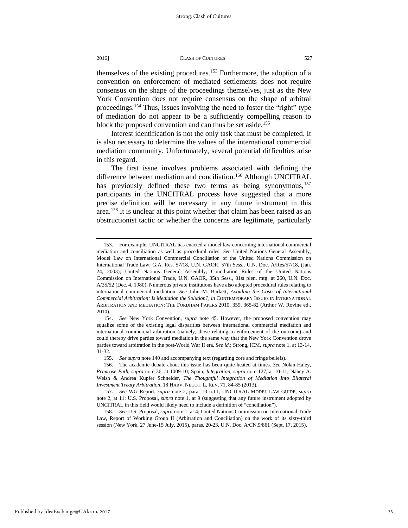themselves of the existing procedures.[153](#page-33-0) Furthermore, the adoption of a convention on enforcement of mediated settlements does not require consensus on the shape of the proceedings themselves, just as the New York Convention does not require consensus on the shape of arbitral proceedings.[154](#page-33-1) Thus, issues involving the need to foster the "right" type of mediation do not appear to be a sufficiently compelling reason to block the proposed convention and can thus be set aside.<sup>[155](#page-33-2)</sup>

Interest identification is not the only task that must be completed. It is also necessary to determine the values of the international commercial mediation community. Unfortunately, several potential difficulties arise in this regard.

The first issue involves problems associated with defining the difference between mediation and conciliation.<sup>[156](#page-33-3)</sup> Although UNCITRAL has previously defined these two terms as being synonymous,<sup>[157](#page-33-4)</sup> participants in the UNCITRAL process have suggested that a more precise definition will be necessary in any future instrument in this area.<sup>[158](#page-33-5)</sup> It is unclear at this point whether that claim has been raised as an obstructionist tactic or whether the concerns are legitimate, particularly

155. *See supra* note 140 and accompanying text (regarding core and fringe beliefs).

<span id="page-33-0"></span><sup>153.</sup> For example, UNCITRAL has enacted a model law concerning international commercial mediation and conciliation as well as procedural rules. *See* United Nations General Assembly, Model Law on International Commercial Conciliation of the United Nations Commission on International Trade Law, G.A. Res. 57/18, U.N. GAOR, 57th Sess., U.N. Doc. A/Res/57/18, (Jan. 24, 2003); United Nations General Assembly, Conciliation Rules of the United Nations Commission on International Trade, U.N. GAOR, 35th Sess., 81st plen. mtg. at 260, U.N. Doc. A/35/52 (Dec. 4, 1980). Numerous private institutions have also adopted procedural rules relating to international commercial mediation. *See* John M. Barkett, *Avoiding the Costs of International Commercial Arbitration: Is Mediation the Solution?*, *in* CONTEMPORARY ISSUES IN INTERNATIONAL ARBITRATION AND MEDIATION: THE FORDHAM PAPERS 2010, 359, 365-82 (Arthur W. Rovine ed., 2010).

<span id="page-33-1"></span><sup>154.</sup> *See* New York Convention, *supra* note 45. However, the proposed convention may equalize some of the existing legal disparities between international commercial mediation and international commercial arbitration (namely, those relating to enforcement of the outcome) and could thereby drive parties toward mediation in the same way that the New York Convention drove parties toward arbitration in the post-World War II era. *See id.*; Strong, ICM, *supra* note 1, at 13-14, 31-32.

<span id="page-33-3"></span><span id="page-33-2"></span><sup>156.</sup> The academic debate about this issue has been quite heated at times. *See* Nolan-Haley, *Primrose Path, supra* note 36, at 1009-10; Spain, *Integration, supra* note 127, at 10-11; Nancy A. Welsh & Andrea Kupfer Schneider, *The Thoughtful Integration of Mediation Into Bilateral Investment Treaty Arbitration*, 18 HARV. NEGOT. L. REV. 71, 84-85 (2013).

<span id="page-33-4"></span><sup>157.</sup> *See* WG Report, *supra* note 2, para. 13 n.11; UNCITRAL MODEL LAW GUIDE, *supra*  note 2, at 11; U.S. Proposal, *supra* note 1, at 9 (suggesting that any future instrument adopted by UNCITRAL in this field would likely need to include a definition of "conciliation").

<span id="page-33-5"></span><sup>158.</sup> *See* U.S. Proposal, *supra* note 1, at 4; United Nations Commission on International Trade Law, Report of Working Group II (Arbitration and Conciliation) on the work of its sixty-third session (New York, 27 June-15 July, 2015), paras. 20-23, U.N. Doc. A/CN.9/861 (Sept. 17, 2015).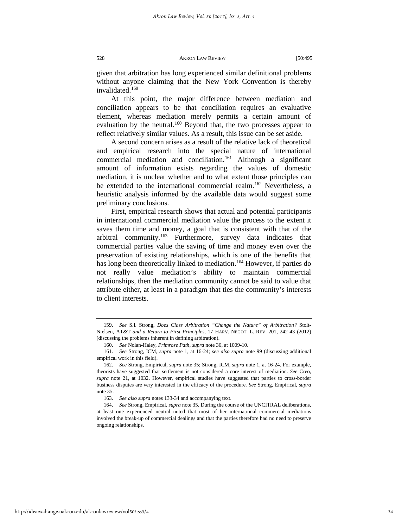given that arbitration has long experienced similar definitional problems without anyone claiming that the New York Convention is thereby invalidated<sup>[159](#page-34-0)</sup>

At this point, the major difference between mediation and conciliation appears to be that conciliation requires an evaluative element, whereas mediation merely permits a certain amount of evaluation by the neutral.<sup>[160](#page-34-1)</sup> Beyond that, the two processes appear to reflect relatively similar values. As a result, this issue can be set aside.

A second concern arises as a result of the relative lack of theoretical and empirical research into the special nature of international commercial mediation and conciliation.[161](#page-34-2) Although a significant amount of information exists regarding the values of domestic mediation, it is unclear whether and to what extent those principles can be extended to the international commercial realm.<sup>[162](#page-34-3)</sup> Nevertheless, a heuristic analysis informed by the available data would suggest some preliminary conclusions.

First, empirical research shows that actual and potential participants in international commercial mediation value the process to the extent it saves them time and money, a goal that is consistent with that of the arbitral community.<sup>[163](#page-34-4)</sup> Furthermore, survey data indicates that commercial parties value the saving of time and money even over the preservation of existing relationships, which is one of the benefits that has long been theoretically linked to mediation.<sup>164</sup> However, if parties do not really value mediation's ability to maintain commercial relationships, then the mediation community cannot be said to value that attribute either, at least in a paradigm that ties the community's interests to client interests.

<span id="page-34-0"></span><sup>159.</sup> *See* S.I. Strong, *Does Class Arbitration "Change the Nature" of Arbitration?* Stolt-Nielsen, AT&T *and a Return to First Principles*, 17 HARV. NEGOT. L. REV. 201, 242-43 (2012) (discussing the problems inherent in defining arbitration).

<sup>160.</sup> *See* Nolan-Haley, *Primrose Path, supra* note 36, at 1009-10.

<span id="page-34-2"></span><span id="page-34-1"></span><sup>161.</sup> *See* Strong, ICM, *supra* note 1, at 16-24; *see also supra* note 99 (discussing additional empirical work in this field).

<span id="page-34-3"></span><sup>162.</sup> *See* Strong, Empirical, *supra* note 35; Strong, ICM, *supra* note 1, at 16-24. For example, theorists have suggested that settlement is not considered a core interest of mediation. *See* Creo, *supra* note 21, at 1032. However, empirical studies have suggested that parties to cross-border business disputes are very interested in the efficacy of the procedure. *See* Strong, Empirical, *supra* note 35.

<sup>163.</sup> *See also supra* notes 133-34 and accompanying text.

<span id="page-34-5"></span><span id="page-34-4"></span><sup>164.</sup> *See* Strong, Empirical, *supra* note 35. During the course of the UNCITRAL deliberations, at least one experienced neutral noted that most of her international commercial mediations involved the break-up of commercial dealings and that the parties therefore had no need to preserve ongoing relationships.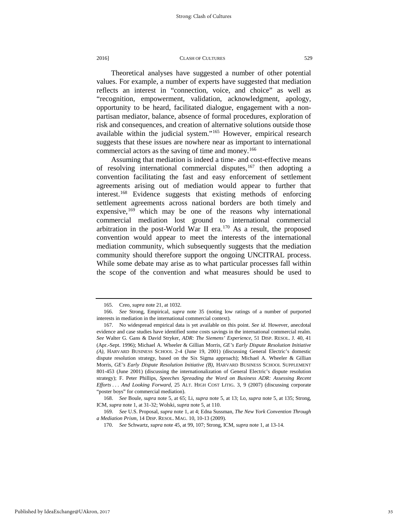Theoretical analyses have suggested a number of other potential values. For example, a number of experts have suggested that mediation reflects an interest in "connection, voice, and choice" as well as "recognition, empowerment, validation, acknowledgment, apology, opportunity to be heard, facilitated dialogue, engagement with a nonpartisan mediator, balance, absence of formal procedures, exploration of risk and consequences, and creation of alternative solutions outside those available within the judicial system."[165](#page-35-0) However, empirical research suggests that these issues are nowhere near as important to international commercial actors as the saving of time and money.<sup>[166](#page-35-1)</sup>

Assuming that mediation is indeed a time- and cost-effective means of resolving international commercial disputes,  $167$  then adopting a convention facilitating the fast and easy enforcement of settlement agreements arising out of mediation would appear to further that interest.[168](#page-35-3) Evidence suggests that existing methods of enforcing settlement agreements across national borders are both timely and expensive,  $169$  which may be one of the reasons why international commercial mediation lost ground to international commercial arbitration in the post-World War II era.[170](#page-35-5) As a result, the proposed convention would appear to meet the interests of the international mediation community, which subsequently suggests that the mediation community should therefore support the ongoing UNCITRAL process. While some debate may arise as to what particular processes fall within the scope of the convention and what measures should be used to

<sup>165.</sup> Creo, *supra* note 21, at 1032.

<span id="page-35-1"></span><span id="page-35-0"></span><sup>166.</sup> *See* Strong, Empirical, *supra* note 35 (noting low ratings of a number of purported interests in mediation in the international commercial context).

<span id="page-35-2"></span><sup>167.</sup> No widespread empirical data is yet available on this point. *See id.* However, anecdotal evidence and case studies have identified some costs savings in the international commercial realm. *See* Walter G. Gans & David Stryker, *ADR: The Siemens' Experience,* 51 DISP. RESOL. J. 40, 41 (Apr.-Sept. 1996); Michael A. Wheeler & Gillian Morris, *GE's Early Dispute Resolution Initiative (A),* HARVARD BUSINESS SCHOOL 2-4 (June 19, 2001) (discussing General Electric's domestic dispute resolution strategy, based on the Six Sigma approach); Michael A. Wheeler & Gillian Morris, *GE's Early Dispute Resolution Initiative (B),* HARVARD BUSINESS SCHOOL SUPPLEMENT 801-453 (June 2001) (discussing the internationalization of General Electric's dispute resolution strategy); F. Peter Phillips, *Speeches Spreading the Word on Business ADR: Assessing Recent Efforts . . . And Looking Forward,* 25 ALT. HIGH COST LITIG. 3, 9 (2007) (discussing corporate "poster boys" for commercial mediation).

<span id="page-35-3"></span><sup>168.</sup> *See* Boule, *supra* note 5, at 65; Li, *supra* note 5, at 13; Lo, *supra* note 5, at 135; Strong, ICM, *supra* note 1, at 31-32; Wolski, *supra* note 5, at 110.

<span id="page-35-5"></span><span id="page-35-4"></span><sup>169.</sup> *See* U.S. Proposal, *supra* note 1, at 4; Edna Sussman, *The New York Convention Through a Mediation Prism,* 14 DISP. RESOL. MAG. 10, 10-13 (2009).

<sup>170.</sup> *See* Schwartz, *supra* note 45, at 99, 107; Strong, ICM, *supra* note 1, at 13-14.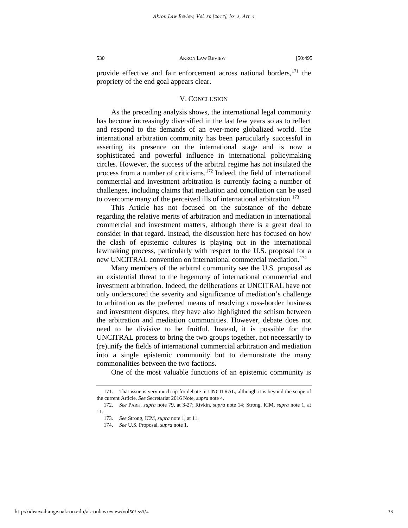provide effective and fair enforcement across national borders,<sup>[171](#page-36-0)</sup> the propriety of the end goal appears clear.

## V. CONCLUSION

As the preceding analysis shows, the international legal community has become increasingly diversified in the last few years so as to reflect and respond to the demands of an ever-more globalized world. The international arbitration community has been particularly successful in asserting its presence on the international stage and is now a sophisticated and powerful influence in international policymaking circles. However, the success of the arbitral regime has not insulated the process from a number of criticisms.<sup>[172](#page-36-1)</sup> Indeed, the field of international commercial and investment arbitration is currently facing a number of challenges, including claims that mediation and conciliation can be used to overcome many of the perceived ills of international arbitration.<sup>[173](#page-36-2)</sup>

This Article has not focused on the substance of the debate regarding the relative merits of arbitration and mediation in international commercial and investment matters, although there is a great deal to consider in that regard. Instead, the discussion here has focused on how the clash of epistemic cultures is playing out in the international lawmaking process, particularly with respect to the U.S. proposal for a new UNCITRAL convention on international commercial mediation.<sup>[174](#page-36-3)</sup>

Many members of the arbitral community see the U.S. proposal as an existential threat to the hegemony of international commercial and investment arbitration. Indeed, the deliberations at UNCITRAL have not only underscored the severity and significance of mediation's challenge to arbitration as the preferred means of resolving cross-border business and investment disputes, they have also highlighted the schism between the arbitration and mediation communities. However, debate does not need to be divisive to be fruitful. Instead, it is possible for the UNCITRAL process to bring the two groups together, not necessarily to (re)unify the fields of international commercial arbitration and mediation into a single epistemic community but to demonstrate the many commonalities between the two factions.

One of the most valuable functions of an epistemic community is

<span id="page-36-0"></span><sup>171.</sup> That issue is very much up for debate in UNCITRAL, although it is beyond the scope of the current Article. *See* Secretariat 2016 Note, *supra* note 4.

<span id="page-36-3"></span><span id="page-36-2"></span><span id="page-36-1"></span><sup>172.</sup> *See* PARK, *supra* note 79, at 3-27; Rivkin, *supra* note 14; Strong, ICM, *supra* note 1, at 11.

<sup>173.</sup> *See* Strong, ICM, *supra* note 1, at 11.

<sup>174.</sup> *See* U.S. Proposal, *supra* note 1.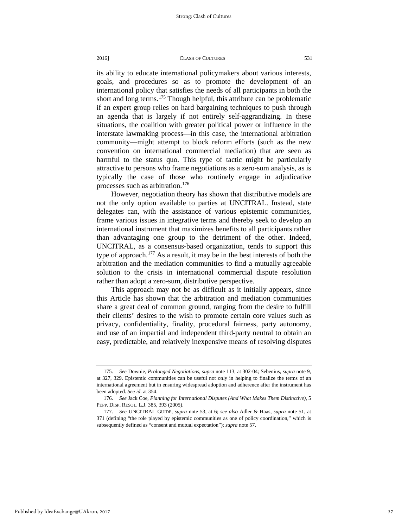its ability to educate international policymakers about various interests, goals, and procedures so as to promote the development of an international policy that satisfies the needs of all participants in both the short and long terms.<sup>175</sup> Though helpful, this attribute can be problematic if an expert group relies on hard bargaining techniques to push through an agenda that is largely if not entirely self-aggrandizing. In these situations, the coalition with greater political power or influence in the interstate lawmaking process—in this case, the international arbitration community—might attempt to block reform efforts (such as the new convention on international commercial mediation) that are seen as harmful to the status quo. This type of tactic might be particularly attractive to persons who frame negotiations as a zero-sum analysis, as is typically the case of those who routinely engage in adjudicative processes such as arbitration.[176](#page-37-1)

However, negotiation theory has shown that distributive models are not the only option available to parties at UNCITRAL. Instead, state delegates can, with the assistance of various epistemic communities, frame various issues in integrative terms and thereby seek to develop an international instrument that maximizes benefits to all participants rather than advantaging one group to the detriment of the other. Indeed, UNCITRAL, as a consensus-based organization, tends to support this type of approach.[177](#page-37-2) As a result, it may be in the best interests of both the arbitration and the mediation communities to find a mutually agreeable solution to the crisis in international commercial dispute resolution rather than adopt a zero-sum, distributive perspective.

This approach may not be as difficult as it initially appears, since this Article has shown that the arbitration and mediation communities share a great deal of common ground, ranging from the desire to fulfill their clients' desires to the wish to promote certain core values such as privacy, confidentiality, finality, procedural fairness, party autonomy, and use of an impartial and independent third-party neutral to obtain an easy, predictable, and relatively inexpensive means of resolving disputes

<span id="page-37-0"></span><sup>175.</sup> *See* Downie, *Prolonged Negotiations, supra* note 113, at 302-04; Sebenius, *supra* note 9, at 327, 329. Epistemic communities can be useful not only in helping to finalize the terms of an international agreement but in ensuring widespread adoption and adherence after the instrument has been adopted. *See id.* at 354.

<span id="page-37-1"></span><sup>176.</sup> *See* Jack Coe, *Planning for International Disputes (And What Makes Them Distinctive),* 5 PEPP. DISP. RESOL. L.J. 385, 393 (2005).

<span id="page-37-2"></span><sup>177.</sup> *See* UNCITRAL GUIDE, *supra* note 53, at 6; *see also* Adler & Haas, *supra* note 51, at 371 (defining "the role played by epistemic communities as one of policy coordination," which is subsequently defined as "consent and mutual expectation"); *supra* note 57.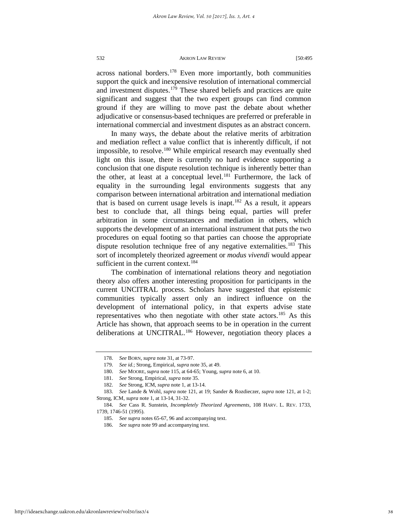across national borders.<sup>[178](#page-38-0)</sup> Even more importantly, both communities support the quick and inexpensive resolution of international commercial and investment disputes.<sup>[179](#page-38-1)</sup> These shared beliefs and practices are quite significant and suggest that the two expert groups can find common ground if they are willing to move past the debate about whether adjudicative or consensus-based techniques are preferred or preferable in international commercial and investment disputes as an abstract concern.

In many ways, the debate about the relative merits of arbitration and mediation reflect a value conflict that is inherently difficult, if not impossible, to resolve.<sup>[180](#page-38-2)</sup> While empirical research may eventually shed light on this issue, there is currently no hard evidence supporting a conclusion that one dispute resolution technique is inherently better than the other, at least at a conceptual level.<sup>[181](#page-38-3)</sup> Furthermore, the lack of equality in the surrounding legal environments suggests that any comparison between international arbitration and international mediation that is based on current usage levels is inapt.<sup>[182](#page-38-4)</sup> As a result, it appears best to conclude that, all things being equal, parties will prefer arbitration in some circumstances and mediation in others, which supports the development of an international instrument that puts the two procedures on equal footing so that parties can choose the appropriate dispute resolution technique free of any negative externalities.<sup>[183](#page-38-5)</sup> This sort of incompletely theorized agreement or *modus vivendi* would appear sufficient in the current context.<sup>[184](#page-38-6)</sup>

The combination of international relations theory and negotiation theory also offers another interesting proposition for participants in the current UNCITRAL process. Scholars have suggested that epistemic communities typically assert only an indirect influence on the development of international policy, in that experts advise state representatives who then negotiate with other state actors.<sup>[185](#page-38-7)</sup> As this Article has shown, that approach seems to be in operation in the current deliberations at UNCITRAL.<sup>[186](#page-38-8)</sup> However, negotiation theory places a

<sup>178.</sup> *See* BORN, *supra* note 31, at 73-97.

<sup>179.</sup> *See id.*; Strong, Empirical, *supra* note 35, at 49.

<sup>180.</sup> *See* MOORE, *supra* note 115, at 64-65; Young, *supra* note 6, at 10.

<sup>181.</sup> *See* Strong, Empirical, *supra* note 35.

<sup>182.</sup> *See* Strong, ICM, *supra* note 1, at 13-14.

<span id="page-38-5"></span><span id="page-38-4"></span><span id="page-38-3"></span><span id="page-38-2"></span><span id="page-38-1"></span><span id="page-38-0"></span><sup>183.</sup> *See* Lande & Wohl, *supra* note 121, at 19; Sander & Rozdieczer, *supra* note 121, at 1-2; Strong, ICM, *supra* note 1, at 13-14, 31-32.

<span id="page-38-8"></span><span id="page-38-7"></span><span id="page-38-6"></span><sup>184.</sup> *See* Cass R. Sunstein, *Incompletely Theorized Agreements*[, 108 HARV.](https://a.next.westlaw.com/Link/Document/FullText?findType=Y&serNum=0105309169&pubNum=0003084&originatingDoc=I8620b0bb15da11e38578f7ccc38dcbee&refType=LR&fi=co_pp_sp_3084_1739&originationContext=document&transitionType=DocumentItem&contextData=(sc.Search)#co_pp_sp_3084_1739) L. REV. 1733, [1739, 1746-51 \(1995\).](https://a.next.westlaw.com/Link/Document/FullText?findType=Y&serNum=0105309169&pubNum=0003084&originatingDoc=I8620b0bb15da11e38578f7ccc38dcbee&refType=LR&fi=co_pp_sp_3084_1739&originationContext=document&transitionType=DocumentItem&contextData=(sc.Search)#co_pp_sp_3084_1739) 

<sup>185.</sup> *See supra* notes 65-67, 96 and accompanying text.

<sup>186.</sup> *See supra* note 99 and accompanying text.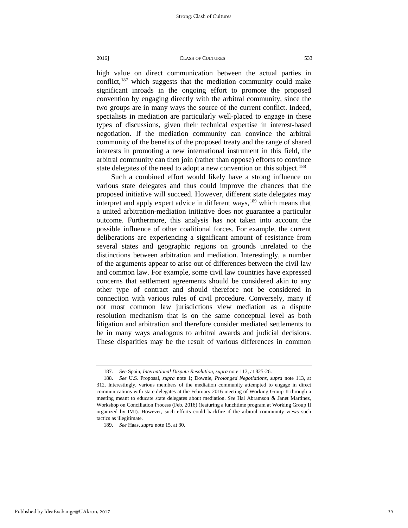high value on direct communication between the actual parties in conflict, $187$  which suggests that the mediation community could make significant inroads in the ongoing effort to promote the proposed convention by engaging directly with the arbitral community, since the two groups are in many ways the source of the current conflict. Indeed, specialists in mediation are particularly well-placed to engage in these types of discussions, given their technical expertise in interest-based negotiation. If the mediation community can convince the arbitral community of the benefits of the proposed treaty and the range of shared interests in promoting a new international instrument in this field, the arbitral community can then join (rather than oppose) efforts to convince state delegates of the need to adopt a new convention on this subject.<sup>[188](#page-39-1)</sup>

Such a combined effort would likely have a strong influence on various state delegates and thus could improve the chances that the proposed initiative will succeed. However, different state delegates may interpret and apply expert advice in different ways,<sup>[189](#page-39-2)</sup> which means that a united arbitration-mediation initiative does not guarantee a particular outcome. Furthermore, this analysis has not taken into account the possible influence of other coalitional forces. For example, the current deliberations are experiencing a significant amount of resistance from several states and geographic regions on grounds unrelated to the distinctions between arbitration and mediation. Interestingly, a number of the arguments appear to arise out of differences between the civil law and common law. For example, some civil law countries have expressed concerns that settlement agreements should be considered akin to any other type of contract and should therefore not be considered in connection with various rules of civil procedure. Conversely, many if not most common law jurisdictions view mediation as a dispute resolution mechanism that is on the same conceptual level as both litigation and arbitration and therefore consider mediated settlements to be in many ways analogous to arbitral awards and judicial decisions. These disparities may be the result of various differences in common

<sup>187.</sup> *See* Spain, *International Dispute Resolution, supra* note 113, at 825-26.

<span id="page-39-1"></span><span id="page-39-0"></span><sup>188.</sup> *See* U.S. Proposal, *supra* note 1; Downie, *Prolonged Negotiations, supra* note 113, at 312. Interestingly, various members of the mediation community attempted to engage in direct communications with state delegates at the February 2016 meeting of Working Group II through a meeting meant to educate state delegates about mediation. *See* Hal Abramson & Janet Martinez, Workshop on Conciliation Process (Feb. 2016) (featuring a lunchtime program at Working Group II organized by IMI). However, such efforts could backfire if the arbitral community views such tactics as illegitimate.

<span id="page-39-2"></span><sup>189.</sup> *See* Haas, *supra* note 15, at 30.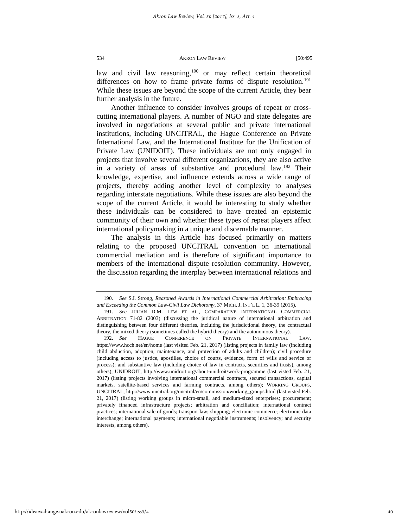law and civil law reasoning,<sup>[190](#page-40-0)</sup> or may reflect certain theoretical differences on how to frame private forms of dispute resolution.<sup>[191](#page-40-1)</sup> While these issues are beyond the scope of the current Article, they bear further analysis in the future.

Another influence to consider involves groups of repeat or crosscutting international players. A number of NGO and state delegates are involved in negotiations at several public and private international institutions, including UNCITRAL, the Hague Conference on Private International Law, and the International Institute for the Unification of Private Law (UNIDOIT). These individuals are not only engaged in projects that involve several different organizations, they are also active in a variety of areas of substantive and procedural law.<sup>[192](#page-40-2)</sup> Their knowledge, expertise, and influence extends across a wide range of projects, thereby adding another level of complexity to analyses regarding interstate negotiations. While these issues are also beyond the scope of the current Article, it would be interesting to study whether these individuals can be considered to have created an epistemic community of their own and whether these types of repeat players affect international policymaking in a unique and discernable manner.

The analysis in this Article has focused primarily on matters relating to the proposed UNCITRAL convention on international commercial mediation and is therefore of significant importance to members of the international dispute resolution community. However, the discussion regarding the interplay between international relations and

<span id="page-40-0"></span><sup>190.</sup> *See* S.I. Strong, *Reasoned Awards in International Commercial Arbitration: Embracing and Exceeding the Common Law-Civil Law Dichotomy*, 37 MICH. J. INT'L L. 1, 36-39 (2015).

<span id="page-40-1"></span><sup>191.</sup> *See* JULIAN D.M. LEW ET AL., COMPARATIVE INTERNATIONAL COMMERCIAL ARBITRATION 71-82 (2003) (discussing the juridical nature of international arbitration and distinguishing between four different theories, incluidng the jurisdictional theory, the contractual theory, the mixed theory (sometimes called the hybrid theory) and the autonomous theory).

<span id="page-40-2"></span><sup>192.</sup> *See* HAGUE CONFERENCE ON PRIVATE INTERNATIONAL LAW, <https://www.hcch.net/en/home> (last visited Feb. 21, 2017) (listing projects in family law (including child abduction, adoption, maintenance, and protection of adults and children); civil procedure (including access to justice, apostilles, choice of courts, evidence, form of wills and service of process); and substantive law (including choice of law in contracts, securities and trusts), among others); UNIDROIT,<http://www.unidroit.org/about-unidroit/work-programme> (last visted Feb. 21, 2017) (listing projects involving international commercial contracts, secured transactions, capital markets, satellite-based services and farming contracts, among others); WORKING GROUPS, UNCITRAL[, http://www.uncitral.org/uncitral/en/commission/working\\_groups.html](http://www.uncitral.org/uncitral/en/commission/working_groups.html) (last visted Feb. 21, 2017) (listing working groups in micro-small, and medium-sized enterprises; procurement; privately financed infrastructure projects; arbitration and conciliation; international contract practices; international sale of goods; transport law; shipping; electronic commerce; electronic data interchange; international payments; international negotiable instruments; insolvency; and security interests, among others).